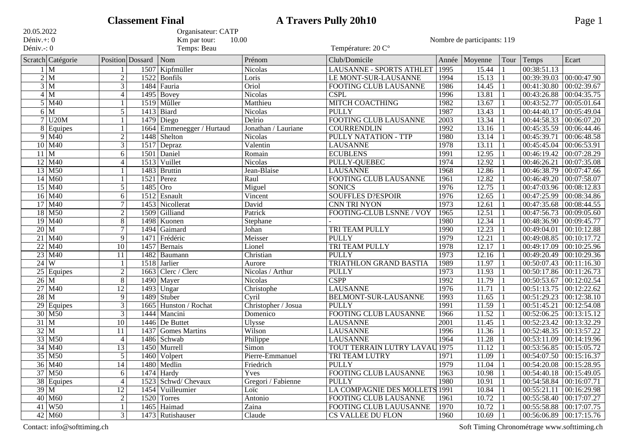|                          |                              |                 | <b>Classement Final</b> |                                      |                            | <b>A Travers Pully 20h10</b>         |               |                             |                |                                | Page 1                    |
|--------------------------|------------------------------|-----------------|-------------------------|--------------------------------------|----------------------------|--------------------------------------|---------------|-----------------------------|----------------|--------------------------------|---------------------------|
| 20.05.2022               |                              |                 |                         | Organisateur: CATP                   |                            |                                      |               |                             |                |                                |                           |
| Déniv.+: 0<br>Déniv.-: 0 |                              |                 |                         | Km par tour:<br>10.00<br>Temps: Beau |                            |                                      |               | Nombre de participants: 119 |                |                                |                           |
|                          |                              |                 |                         |                                      |                            | Température: 20 C°                   |               |                             |                |                                |                           |
|                          | Scratch Catégorie            |                 | Position Dossard        | Nom                                  | Prénom                     | Club/Domicile                        | Année         | Moyenne                     | Tour           | Temps                          | Ecart                     |
|                          | $1 \overline{M}$             |                 |                         | 1507 Kipfmüller                      | <b>Nicolas</b>             | LAUSANNE - SPORTS ATHLET             | 1995          | 15.44                       |                | 00:38:51.13                    |                           |
|                          | 2 M                          | $\overline{2}$  | 1522                    | Bonfils                              | Loris                      | LE MONT-SUR-LAUSANNE                 | 1994          | 15.13                       | $\mathbf{1}$   | 00:39:39.03                    | 00:00:47.90               |
|                          | 3 M                          | $\overline{3}$  |                         | 1484 Fauria                          | Oriol                      | <b>FOOTING CLUB LAUSANNE</b>         | 1986          | 14.45                       |                | 00:41:30.80                    | 00:02:39.67               |
|                          | 4 M                          | $\overline{4}$  |                         | $1495$ Bovey                         | Nicolas                    | <b>CSPL</b>                          | 1996          | 13.81                       |                | 00:43:26.88                    | 00:04:35.75               |
|                          | $5 \overline{\mathrm{M}}$ 40 |                 | 1519                    | Mûller                               | Matthieu                   | <b>MITCH COACTHING</b>               | 1982          | 13.67                       |                | 00:43:52.77                    | 00:05:01.64               |
| 6                        | $\overline{\mathrm{M}}$      | $\overline{5}$  |                         | 1413 Biard                           | Nicolas                    | <b>PULLY</b>                         | 1987          | 13.43                       |                | 00:44:40.17                    | 00:05:49.04               |
|                          | U20M                         |                 | 1479                    | Diego                                | Delrio                     | <b>FOOTING CLUB LAUSANNE</b>         | $\sqrt{2003}$ | 13.34                       |                | 00:44:58.33                    | 00:06:07.20               |
| 8                        | Equipes                      |                 | 1664                    | Emmenegger / Hurtaud                 | Jonathan / Lauriane        | <b>COURRENDLIN</b>                   | 1992          | 13.16                       |                | 00:45:35.59                    | 00:06:44.46               |
|                          | $9$ M <sub>40</sub>          | $\overline{2}$  | 1448                    | Shelton                              | <b>Nicolas</b>             | PULLY NATATION - TTP                 | 1980          | 13.14                       |                | 00:45:39.71                    | 00:06:48.58               |
|                          | $10$ M <sub>40</sub>         | $\overline{3}$  |                         | $1517$ Depraz                        | Valentin                   | <b>LAUSANNE</b>                      | 1978          | 13.11                       |                | 00:45:45.04                    | 00:06:53.91               |
| 11 M                     |                              | 6               | 1501                    | Daniel                               | Romain                     | <b>ECUBLENS</b>                      | 1991          | 12.95                       |                | 00:46:19.42                    | 00:07:28.29               |
|                          | $12$ M <sub>40</sub>         | $\overline{4}$  |                         | 1513 Vuillet                         | <b>Nicolas</b>             | PULLY-QUEBEC                         | 1974          | 12.92                       |                | 00:46:26.21                    | 00:07:35.08               |
|                          | $13$ M50                     |                 |                         | 1483 Bruttin                         | Jean-Blaise                | <b>LAUSANNE</b>                      | 1968          | 12.86                       |                | 00:46:38.79                    | 00:07:47.66               |
|                          | $14$ M60                     |                 | 1521                    | Perez                                | Raul                       | FOOTING CLUB LAUSANNE                | 1961          | 12.82                       |                | 00:46:49.20                    | 00:07:58.07               |
|                          | $15$ M40                     | 5               | 1485                    | Oro                                  | Miguel                     | <b>SONICS</b>                        | 1976          | 12.75                       |                | 00:47:03.96                    | 00:08:12.83               |
|                          | $16$ M40                     | 6               | 1512                    | Esnault                              | Vincent                    | <b>SOUFFLES D?ESPOIR</b>             | 1976          | 12.65                       |                | 00:47:25.99                    | 00:08:34.86               |
|                          | $17$ M <sub>40</sub>         | $\tau$          | 1453                    | Nicollerat                           | David                      | <b>CNN TRI NYON</b>                  | 1973          | 12.61                       |                | 00:47:35.68                    | 00:08:44.55               |
|                          | $18$ M50                     | $\overline{2}$  | 1509                    | Gilliand                             | Patrick                    | FOOTING-CLUB LSNNE / VOY             | 1965          | 12.51                       |                | 00:47:56.73                    | 00:09:05.60               |
|                          | $19$ M <sub>40</sub>         | $\overline{8}$  | 1498                    | Kuonen                               | Stephane                   |                                      | 1980          | 12.34                       |                | 00:48:36.90                    | 00:09:45.77               |
| $20\vert M$              |                              | $\overline{7}$  | 1494                    | Gaimard                              | Johan                      | <b>TRI TEAM PULLY</b>                | 1990          | 12.23                       | $\overline{1}$ | 00:49:04.01                    | 00:10:12.88               |
|                          | $21$ M40                     | 9               | 1471                    | Frédéric                             | Meisser                    | <b>PULLY</b>                         | 1979          | 12.21                       |                | 00:49:08.85                    | 00:10:17.72               |
|                          | $22$ M40                     | $\overline{10}$ | 1457                    | Bernais                              | Lionel                     | <b>TRI TEAM PULLY</b>                | 1978          | 12.17                       |                | 00:49:17.09                    | 00:10:25.96               |
|                          | $23 \mid M40$                | 11              | 1482                    | Baumann                              | Christian                  | <b>PULLY</b>                         | 1973          | 12.16                       |                | 00:49:20.49                    | 00:10:29.36               |
| 24                       | $\overline{\mathrm{W}}$      |                 |                         | 1518 Jarlier                         | Aurore                     | <b>TRIATHLON GRAND BASTIA</b>        | 1989          | 11.97                       |                | 00:50:07.43                    | 00:11:16.30               |
| $\overline{25}$          | Equipes                      | $\overline{2}$  | 1663                    | Clerc / Clerc                        | Nicolas / Arthur           | <b>PULLY</b>                         | 1973          | 11.93                       |                | 00:50:17.86                    | 00:11:26.73               |
| 26 M                     |                              | $\overline{8}$  | 1490                    | Mayer                                | Nicolas                    | CSPP                                 | 1992          | 11.79                       |                | 00:50:53.67                    | 00:12:02.54               |
| $\overline{27}$          | $\overline{\mathrm{M}40}$    | $\overline{12}$ |                         | $1493$ Ungar                         | Christophe                 | <b>LAUSANNE</b>                      | 1976          | 11.71                       |                | 00:51:13.75                    | 00:12:22.62               |
| 28                       | $\overline{\mathbf{M}}$      | 9               | 1489                    | Stuber                               | Cyril                      | BELMONT-SUR-LAUSANNE                 | 1993          | 11.65                       |                | 00:51:29.23                    | 00:12:38.10               |
|                          | $29$ Equipes                 | $\overline{3}$  | 1665                    | Hunston / Rochat                     | Christopher / Josua        | <b>PULLY</b>                         | 1991          | 11.59                       |                | 00:51:45.21                    | 00:12:54.08               |
|                          | $30$ M50                     | $\overline{3}$  |                         | 1444 Mancini                         | Domenico                   | FOOTING CLUB LAUSANNE                | 1966          | 11.52                       |                | 00:52:06.25                    | 00:13:15.12               |
| 31 M                     |                              | $\overline{10}$ |                         | 1446 De Buttet                       | Ulysse                     | <b>LAUSANNE</b>                      | 2001          | 11.45                       |                | 00:52:23.42                    | 00:13:32.29               |
| 32 M                     |                              | 11              | 1437                    | Gomes Martins                        | Wilson                     | <b>LAUSANNE</b>                      | 1996          | 11.36                       |                | 00:52:48.35                    | 00:13:57.22               |
|                          | 33 M50                       | $\overline{4}$  |                         | 1486 Schwab                          | Philippe                   | <b>LAUSANNE</b>                      | 1964          | 11.28                       |                | 00:53:11.09                    | 00:14:19.96               |
|                          | $34 \mid M40$                | 13              |                         | 1450   Murrell                       | Simon                      | <b>TOUT TERRAIN LUTRY LAVAU 1975</b> |               | 11.12                       |                | $ 00:53:56.85 \t  00:15:05.72$ |                           |
|                          | $35 \vert M50$               | $\overline{5}$  |                         | 1460 Volpert                         | Pierre-Emmanuel            | TRI TEAM LUTRY                       | 1971          | 11.09                       |                | $00:54:07.50$ $00:15:16.37$    |                           |
|                          | $36$ M40                     | $\overline{14}$ |                         | 1480 Medlin                          | Friedrich                  | <b>PULLY</b>                         | 1979          | 11.04                       | 1              | 00:54:20.08 00:15:28.95        |                           |
|                          | $37 \vert M50$               | 6               |                         | $1474$ Hardy                         | Yves                       | <b>FOOTING CLUB LAUSANNE</b>         | 1963          | 10.98                       |                | 00:54:40.18 00:15:49.05        |                           |
|                          | 38 Equipes                   | $\overline{4}$  |                         | 1523 Schwd/Chevaux                   | Gregori / Fabienne         | <b>PULLY</b>                         | 1980          | 10.91                       |                | 00:54:58.84 00:16:07.71        |                           |
| 39 M                     |                              | $\overline{12}$ |                         | 1454 Vuilleumier                     | Loïc                       | LA COMPAGNIE DES MOLLETS 1991        |               | 10.84                       | -1             | $00:55:21.11$ 00:16:29.98      |                           |
|                          | $40$ M60                     | $\overline{2}$  |                         | 1520 Torres                          | Antonio                    | <b>FOOTING CLUB LAUSANNE</b>         | 1961          | 10.72                       |                | 00:55:58.40 00:17:07.27        |                           |
|                          | $41$ W <sub>50</sub>         |                 |                         | 1465 Haimad                          | Zaina                      | FOOTING CLUB LAUUSANNE               | 1970          | 10.72                       |                | 00:55:58.88 00:17:07.75        |                           |
|                          | $42$ M60                     | 3 <sup>1</sup>  |                         | 1473 Rutishauser                     | $\overline{\text{Claude}}$ | CS VALLEE DU FLON                    | 1960          | 10.69                       |                |                                | $00:56:06.89$ 00:17:15.76 |
|                          |                              |                 |                         |                                      |                            |                                      |               |                             |                |                                |                           |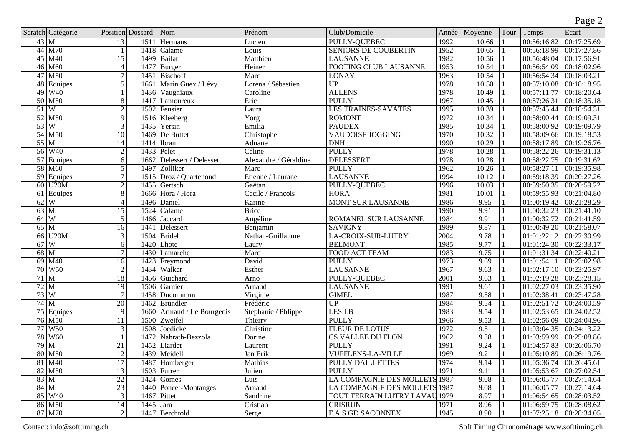|                           |                           |                  |                   |                       |                            |                               |       |         |      |                           | Page 2                    |
|---------------------------|---------------------------|------------------|-------------------|-----------------------|----------------------------|-------------------------------|-------|---------|------|---------------------------|---------------------------|
|                           | Scratch Catégorie         | Position Dossard |                   | Nom                   | Prénom                     | Club/Domicile                 | Année | Moyenne | Tour | Temps                     | Ecart                     |
|                           | $43 \mid M$               | $\overline{13}$  | 1511              | <b>Hermans</b>        | Lucien                     | PULLY-QUEBEC                  | 1992  | 10.66   |      | 00:56:16.82               | 00:17:25.69               |
|                           | $44$ M70                  |                  | 1418              | Calame                | Louis                      | <b>SENIORS DE COUBERTIN</b>   | 1952  | 10.65   |      | 00:56:18.99               | 00:17:27.86               |
|                           | $45$ M40                  | $\overline{15}$  | 1499              | Bailat                | Matthieu                   | <b>LAUSANNE</b>               | 1982  | 10.56   |      | 00:56:48.04               | 00:17:56.91               |
|                           | 46 M60                    | $\overline{4}$   | 1477              | Burger                | Heiner                     | <b>FOOTING CLUB LAUSANNE</b>  | 1953  | 10.54   |      | 00:56:54.09               | 00:18:02.96               |
|                           | $47$ M50                  | $\overline{7}$   | 1451              | Bischoff              | Marc                       | <b>LONAY</b>                  | 1963  | 10.54   |      | 00:56:54.34               | 00:18:03.21               |
|                           | 48 Equipes                | $\overline{5}$   | 1661              | Marin Guex / Lévy     | Lorena / Sébastien         | $\overline{UP}$               | 1978  | 10.50   |      | 00:57:10.08               | 00:18:18.95               |
| 49                        | W40                       |                  | 1436              | Vaugniaux             | Caroline                   | <b>ALLENS</b>                 | 1978  | 10.49   |      | 00:57:11.77               | 00:18:20.64               |
|                           | $50$ M $50$               | $\overline{8}$   | 1417              | Lamoureux             | Eric                       | <b>PULLY</b>                  | 1967  | 10.45   |      | 00:57:26.31               | 00:18:35.18               |
| $51$ W                    |                           | $\overline{2}$   | 1502              | Feusier               | Laura                      | <b>LES TRAINES-SAVATES</b>    | 1995  | 10.39   |      | 00:57:45.44               | 00:18:54.31               |
|                           | 52 M50                    | $\overline{9}$   | $\overline{1516}$ | Kleeberg              | $\overline{\mathrm{Yorg}}$ | <b>ROMONT</b>                 | 1972  | 10.34   |      | 00:58:00.44               | 00:19:09.31               |
| 53W                       |                           | $\overline{3}$   | 1435              | Yersin                | Emilia                     | <b>PAUDEX</b>                 | 1985  | 10.34   |      | 00:58:00.92               | 00:19:09.79               |
|                           | 54 M50                    | 10               | 1469              | De Buttet             | Christophe                 | <b>VAUDOISE JOGGING</b>       | 1970  | 10.32   |      | 00:58:09.66               | 00:19:18.53               |
|                           | $55\overline{\mathrm{M}}$ | 14               | 1414              | Ibram                 | Adnane                     | <b>DNH</b>                    | 1990  | 10.29   |      | 00:58:17.89               | 00:19:26.76               |
|                           | 56 W <sub>40</sub>        | $\overline{2}$   | 1433              | Pelet                 | Céline                     | <b>PULLY</b>                  | 1978  | 10.28   |      | 00:58:22.26               | 00:19:31.13               |
| $\overline{57}$           | Equipes                   | 6                | 1662              | Delessert / Delessert | Alexandre / Géraldine      | <b>DELESSERT</b>              | 1978  | 10.28   |      | 00:58:22.75               | 00:19:31.62               |
|                           | 58 M60                    | $\overline{5}$   | 1497              | Zolliker              | Marc                       | <b>PULLY</b>                  | 1962  | 10.26   |      | 00:58:27.11               | 00:19:35.98               |
| 59                        | Equipes                   | 7                | 1515              | Droz / Quartenoud     | Etienne / Laurane          | <b>LAUSANNE</b>               | 1994  | 10.12   |      | 00:59:18.39               | 00:20:27.26               |
| $\overline{60}$           | U20M                      | $\overline{2}$   | 1455              | Gertsch               | Gaëtan                     | <b>PULLY-QUEBEC</b>           | 1996  | 10.03   |      | 00:59:50.35               | 00:20:59.22               |
| 61                        | Equipes                   | $\overline{8}$   | 1666              | Hora / Hora           | Cecile / François          | <b>HORA</b>                   | 1981  | 10.01   |      | 00:59:55.93               | 00:21:04.80               |
| 62                        | $\overline{\mathrm{W}}$   | $\overline{4}$   | 1496              | Daniel                | Karine                     | <b>MONT SUR LAUSANNE</b>      | 1986  | 9.95    |      | 01:00:19.42               | 00:21:28.29               |
| 63                        | $\overline{\mathbf{M}}$   | $\overline{15}$  | 1524              | Calame                | <b>Brice</b>               |                               | 1990  | 9.91    |      | 01:00:32.23               | 00:21:41.10               |
| $64$ W                    |                           | $\overline{5}$   | 1466              | Jaccard               | Angéline                   | ROMANEL SUR LAUSANNE          | 1984  | 9.91    |      | 01:00:32.72               | 00:21:41.59               |
| $65\overline{\mathrm{M}}$ |                           | $\overline{16}$  | 1441              | Delessert             | Benjamin                   | <b>SAVIGNY</b>                | 1989  | 9.87    |      | 01:00:49.20               | 00:21:58.07               |
| 66                        | U20M                      | $\overline{3}$   | 1504              | <b>Bridel</b>         | Nathan-Guillaume           | LA-CROIX-SUR-LUTRY            | 2004  | 9.78    |      | 01:01:22.12               | 00:22:30.99               |
| 67                        | W                         | 6                | 1420              | Lhote                 | Laury                      | <b>BELMONT</b>                | 1985  | 9.77    |      | 01:01:24.30               | 00:22:33.17               |
| 68                        | $\overline{\mathbf{M}}$   | $\overline{17}$  | 1430              | Lamarche              | Marc                       | <b>FOOD ACT TEAM</b>          | 1983  | 9.75    |      | 01:01:31.34               | 00:22:40.21               |
| 69                        | M40                       | $\overline{16}$  | 1423              | Freymond              | David                      | <b>PULLY</b>                  | 1973  | 9.69    |      | 01:01:54.11               | 00:23:02.98               |
|                           | 70 W <sub>50</sub>        | $\overline{2}$   | 1434              | Walker                | Esther                     | <b>LAUSANNE</b>               | 1967  | 9.63    |      | 01:02:17.10               | 00:23:25.97               |
| $71$ M                    |                           | 18               | 1456              | Guichard              | Arno                       | PULLY-QUEBEC                  | 2001  | 9.63    |      | 01:02:19.28               | 00:23:28.15               |
| 72 M                      |                           | $\overline{19}$  | 1506              | Garnier               | Arnaud                     | <b>LAUSANNE</b>               | 1991  | 9.61    |      | 01:02:27.03               | 00:23:35.90               |
| $\frac{73}{W}$            |                           | $\overline{7}$   | 1458              | Ducommun              | Virginie                   | <b>GIMEL</b>                  | 1987  | 9.58    |      | 01:02:38.41               | 00:23:47.28               |
| $74$ M                    |                           | 20               | 1462              | Bründler              | Frédéric                   | $\overline{UP}$               | 1984  | 9.54    |      | 01:02:51.72               | 00:24:00.59               |
|                           | 75 Equipes                | $\overline{9}$   | 1660              | Armand / Le Bourgeois | Stephanie / Phlippe        | LES <sub>LB</sub>             | 1983  | 9.54    |      | 01:02:53.65               | 00:24:02.52               |
|                           | 76 M50                    | 11               | 1500              | Zweifel               | Thierry                    | <b>PULLY</b>                  | 1966  | 9.53    |      | 01:02:56.09               | 00:24:04.96               |
| 77                        | W50                       | $\overline{3}$   | 1508              | Joedicke              | Christine                  | <b>FLEUR DE LOTUS</b>         | 1972  | 9.51    |      | 01:03:04.35               | 00:24:13.22               |
| $\overline{78}$           | W <sub>60</sub>           |                  | 1472              | Nahrath-Bezzola       | Dorine                     | <b>CS VALLEE DU FLON</b>      | 1962  | 9.38    |      | 01:03:59.99               | 00:25:08.86               |
|                           | 79 M                      | 21               |                   | 1452 Liardet          | Laurent                    | <b>PULLY</b>                  | 1991  | 9.24    |      | 01:04:57.83 00:26:06.70   |                           |
|                           | $80$ M50                  | $\overline{12}$  |                   | 1439 Meidell          | Jan Erik                   | <b>VUFFLENS-LA-VILLE</b>      | 1969  | 9.21    |      | $01:05:10.89$ 00:26:19.76 |                           |
|                           | $81$ M <sub>40</sub>      | $\overline{17}$  | 1487              | Homberger             | Mathias                    | <b>PULLY DAILLETTES</b>       | 1974  | 9.14    |      | $01:05:36.74$ 00:26:45.61 |                           |
|                           | $82$ M50                  | $\overline{13}$  | 1503              | Furrer                | Julien                     | <b>PULLY</b>                  | 1971  | 9.11    |      |                           | $01:05:53.67$ 00:27:02.54 |
|                           | 83 M                      | $\overline{22}$  | 1424              | Gomes                 | Luis                       | LA COMPAGNIE DES MOLLETS 1987 |       | 9.08    |      |                           | $01:06:05.77$ 00:27:14.64 |
|                           | $84 \mid M$               | $\overline{23}$  | 1440              | Poncet-Montanges      | Arnaud                     | LA COMPAGNIE DES MOLLETS 1987 |       | 9.08    |      | $01:06:05.77$ 00:27:14.64 |                           |
|                           | 85 W <sub>40</sub>        | $\overline{3}$   | 1467              | Pittet                | Sandrine                   | TOUT TERRAIN LUTRY LAVAU 1979 |       | 8.97    |      |                           | $01:06:54.65$ 00:28:03.52 |
|                           | $86$ M50                  | 14               | 1445              | Jara                  | Cristian                   | <b>CRISRUN</b>                | 1971  | 8.96    |      |                           | $01:06:59.75$ 00:28:08.62 |
|                           | 87 M70                    | $\overline{2}$   | 1447              | Berchtold             | Serge                      | <b>F.A.S GD SACONNEX</b>      | 1945  | 8.90    |      |                           | $01:07:25.18$ 00:28:34.05 |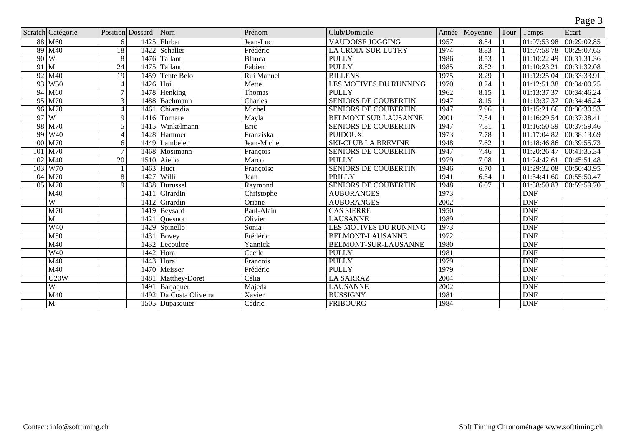|        |                           |                 |                         |                        |               |                               |      |               |                   |                          | ັ                    |
|--------|---------------------------|-----------------|-------------------------|------------------------|---------------|-------------------------------|------|---------------|-------------------|--------------------------|----------------------|
|        | Scratch Catégorie         |                 | <b>Position</b> Dossard | Nom                    | Prénom        | Club/Domicile                 |      | Année Moyenne | Tour <sup>1</sup> | Temps                    | Ecart                |
|        | 88 M60                    | 6               | 1425                    | Ehrbar                 | Jean-Luc      | <b>VAUDOISE JOGGING</b>       | 1957 | 8.84          |                   | 01:07:53.98              | 00:29:02.85          |
|        | 89 M <sub>40</sub>        | 18              | 1422                    | Schaller               | Frédéric      | <b>LA CROIX-SUR-LUTRY</b>     | 1974 | 8.83          |                   | 01:07:58.78              | 00:29:07.65          |
|        | $90\vert W$               | $\overline{8}$  | 1476                    | Tallant                | <b>Blanca</b> | <b>PULLY</b>                  | 1986 | 8.53          |                   | $\overline{01:10:22.49}$ | $\sqrt{00:31:31.36}$ |
| $91$ M |                           | $\overline{24}$ | 1475                    | Tallant                | Fabien        | <b>PULLY</b>                  | 1985 | 8.52          |                   | 01:10:23.21              | $\sqrt{00:31:32.08}$ |
|        | $92$ M <sub>40</sub>      | 19              | 1459                    | <b>Tente Belo</b>      | Rui Manuel    | <b>BILLENS</b>                | 1975 | 8.29          |                   | 01:12:25.04              | 00:33:33.91          |
|        | 93 W <sub>50</sub>        | $\overline{4}$  | 1426                    | Hoi                    | Mette         | <b>LES MOTIVES DU RUNNING</b> | 1970 | 8.24          |                   | 01:12:51.38              | 00:34:00.25          |
|        | $94$ M60                  | $\overline{7}$  | 1478                    | Henking                | Thomas        | <b>PULLY</b>                  | 1962 | 8.15          |                   | 01:13:37.37              | 00:34:46.24          |
|        | 95 M70                    | $\overline{3}$  | 1488                    | Bachmann               | Charles       | <b>SENIORS DE COUBERTIN</b>   | 1947 | 8.15          |                   | 01:13:37.37              | 00:34:46.24          |
|        | $96$ M70                  | $\overline{4}$  | 1461                    | Chiaradia              | Michel        | <b>SENIORS DE COUBERTIN</b>   | 1947 | 7.96          |                   | 01:15:21.66              | 00:36:30.53          |
|        | 97W                       | 9               | 1416                    | Tornare                | Mayla         | <b>BELMONT SUR LAUSANNE</b>   | 2001 | 7.84          |                   | 01:16:29.54              | 00:37:38.41          |
|        | 98 M70                    | $\overline{5}$  | 1415                    | Winkelmann             | Eric          | <b>SENIORS DE COUBERTIN</b>   | 1947 | 7.81          |                   | 01:16:50.59              | 00:37:59.46          |
|        | 99 W <sub>40</sub>        | $\overline{4}$  | 1428                    | Hammer                 | Franziska     | <b>PUIDOUX</b>                | 1973 | 7.78          |                   | 01:17:04.82              | 00:38:13.69          |
|        | 100 M70                   | 6               | 1449                    | Lambelet               | Jean-Michel   | <b>SKI-CLUB LA BREVINE</b>    | 1948 | 7.62          |                   | 01:18:46.86              | 00:39:55.73          |
|        | 101 M70                   | $\overline{7}$  | 1468                    | Mosimann               | François      | <b>SENIORS DE COUBERTIN</b>   | 1947 | 7.46          |                   | 01:20:26.47              | 00:41:35.34          |
|        | $102$ M <sub>40</sub>     | $\overline{20}$ |                         | 1510 Aiello            | Marco         | <b>PULLY</b>                  | 1979 | 7.08          |                   | 01:24:42.61              | 00:45:51.48          |
| 103    | $\sqrt{W}$                |                 | 1463                    | Huet                   | Françoise     | <b>SENIORS DE COUBERTIN</b>   | 1946 | 6.70          |                   | 01:29:32.08              | 00:50:40.95          |
| 104    | $\overline{\mathrm{M}70}$ | 8               | 1427                    | Willi                  | Jean          | <b>PRILLY</b>                 | 1941 | 6.34          |                   | 01:34:41.60              | 00:55:50.47          |
| 105    | $\overline{\mathrm{M}70}$ | $\overline{9}$  | 1438                    | Durussel               | Raymond       | <b>SENIORS DE COUBERTIN</b>   | 1948 | 6.07          |                   | 01:38:50.83              | 00:59:59.70          |
|        | $\overline{M40}$          |                 | 1411                    | Girardin               | Christophe    | <b>AUBORANGES</b>             | 1973 |               |                   | <b>DNF</b>               |                      |
|        | W                         |                 | 1412                    | Girardin               | Oriane        | <b>AUBORANGES</b>             | 2002 |               |                   | <b>DNF</b>               |                      |
|        | M70                       |                 | 1419                    | Beysard                | Paul-Alain    | <b>CAS SIERRE</b>             | 1950 |               |                   | <b>DNF</b>               |                      |
|        | $\overline{M}$            |                 | 1421                    | Quesnot                | Olivier       | <b>LAUSANNE</b>               | 1989 |               |                   | <b>DNF</b>               |                      |
|        | $\overline{W40}$          |                 | 1429                    | Spinello               | Sonia         | <b>LES MOTIVES DU RUNNING</b> | 1973 |               |                   | <b>DNF</b>               |                      |
|        | $\overline{M50}$          |                 | 1431                    | Bovey                  | Frédéric      | <b>BELMONT-LAUSANNE</b>       | 1972 |               |                   | <b>DNF</b>               |                      |
|        | M40                       |                 | 1432                    | Lecoultre              | Yannick       | <b>BELMONT-SUR-LAUSANNE</b>   | 1980 |               |                   | <b>DNF</b>               |                      |
|        | W40                       |                 | 1442                    | Hora                   | Cecile        | <b>PULLY</b>                  | 1981 |               |                   | <b>DNF</b>               |                      |
|        | $\overline{M40}$          |                 | 1443                    | Hora                   | Francois      | <b>PULLY</b>                  | 1979 |               |                   | <b>DNF</b>               |                      |
|        | M40                       |                 | 1470                    | Meisser                | Frédéric      | <b>PULLY</b>                  | 1979 |               |                   | <b>DNF</b>               |                      |
|        | U20W                      |                 | 1481                    | Matthey-Doret          | Célia         | <b>LA SARRAZ</b>              | 2004 |               |                   | <b>DNF</b>               |                      |
|        | $\overline{W}$            |                 | 1491                    | <b>Barjaquer</b>       | Majeda        | <b>LAUSANNE</b>               | 2002 |               |                   | <b>DNF</b>               |                      |
|        | $\overline{M40}$          |                 |                         | 1492 Da Costa Oliveira | Xavier        | <b>BUSSIGNY</b>               | 1981 |               |                   | <b>DNF</b>               |                      |
|        | $\overline{\mathbf{M}}$   |                 |                         | 1505 Dupasquier        | Cédric        | <b>FRIBOURG</b>               | 1984 |               |                   | <b>DNF</b>               |                      |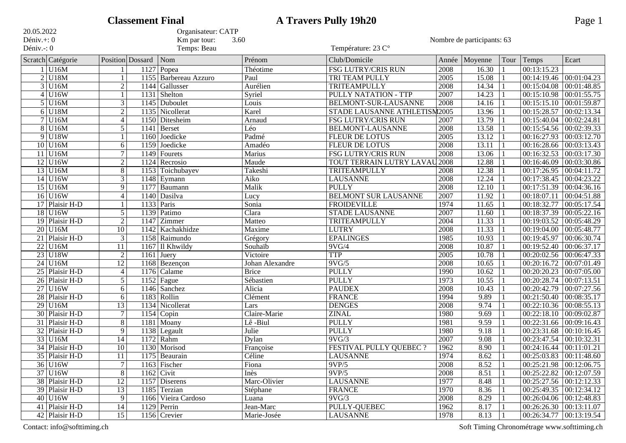|                              |                        |                  | <b>Classement Final</b> |                             |                              | <b>A Travers Pully 19h20</b><br>Page 1 |       |                            |                |                         |                             |  |  |
|------------------------------|------------------------|------------------|-------------------------|-----------------------------|------------------------------|----------------------------------------|-------|----------------------------|----------------|-------------------------|-----------------------------|--|--|
| 20.05.2022                   |                        |                  |                         | Organisateur: CATP          |                              |                                        |       |                            |                |                         |                             |  |  |
| Déniv. $+$ : 0<br>Déniv.-: 0 |                        |                  |                         | Km par tour:<br>Temps: Beau | 3.60                         | Température: 23 C°                     |       | Nombre de participants: 63 |                |                         |                             |  |  |
|                              | Scratch Catégorie      |                  | Position Dossard        | Nom                         | Prénom                       | Club/Domicile                          | Année | Moyenne                    | Tour           | Temps                   | Ecart                       |  |  |
|                              | $1$ U <sub>16</sub> M  |                  | 1127                    | Popea                       | Théotime                     | <b>FSG LUTRY/CRIS RUN</b>              | 2008  | 16.30                      |                | 00:13:15.23             |                             |  |  |
|                              | $2$ U <sub>18</sub> M  |                  | 1155                    | Barbereau Azzuro            | Paul                         | TRI TEAM PULLY                         | 2005  | 15.08                      |                | 00:14:19.46             | 00:01:04.23                 |  |  |
|                              | $3$ U <sub>16</sub> M  | $\overline{2}$   | 1144                    | Gallusser                   | Aurélien                     | <b>TRITEAMPULLY</b>                    | 2008  | 14.34                      |                | 00:15:04.08             | 00:01:48.85                 |  |  |
|                              | $4$ U16W               |                  | 1131                    | Shelton                     | Syriel                       | PULLY NATATION - TTP                   | 2007  | 14.23                      | $\overline{1}$ | 00:15:10.98             | 00:01:55.75                 |  |  |
|                              | $5$ U <sub>16</sub> M  | $\overline{3}$   | 1145                    | Duboulet                    | Louis                        | BELMONT-SUR-LAUSANNE                   | 2008  | 14.16                      |                | 00:15:15.10             | 00:01:59.87                 |  |  |
|                              | $6$ U <sub>18</sub> M  | $\overline{2}$   | 1135                    | Nicollerat                  | Karel                        | STADE LAUSANNE ATHLETISM2005           |       | 13.96                      |                | 00:15:28.57             | 00:02:13.34                 |  |  |
|                              | $7$ U <sub>16</sub> M  | $\overline{4}$   | 1150                    | Ditesheim                   | Arnaud                       | <b>FSG LUTRY/CRIS RUN</b>              | 2007  | 13.79                      |                | 00:15:40.04             | 00:02:24.81                 |  |  |
|                              | $8$ U <sub>16</sub> M  | 5                | 1141                    | Berset                      | Léo                          | <b>BELMONT-LAUSANNE</b>                | 2008  | 13.58                      |                | 00:15:54.56             | 00:02:39.33                 |  |  |
|                              | $9$ U <sub>18</sub> W  |                  | 1160                    | Joedicke                    | Padmé                        | <b>FLEUR DE LOTUS</b>                  | 2005  | 13.12                      |                | 00:16:27.93             | 00:03:12.70                 |  |  |
|                              | $10$ U <sub>16</sub> M | 6                | 1159                    | Joedicke                    | Amadéo                       | <b>FLEUR DE LOTUS</b>                  | 2008  | 13.11                      |                | 00:16:28.66             | 00:03:13.43                 |  |  |
|                              | $11$ U <sub>16</sub> M | 7                | 1149                    | Fourets                     | Marius                       | FSG LUTRY/CRIS RUN                     | 2008  | 13.06                      |                | 00:16:32.53             | 00:03:17.30                 |  |  |
|                              | $12$ U16W              | $\boldsymbol{2}$ | 1124                    | Recrosio                    | Maude                        | TOUT TERRAIN LUTRY LAVAU               | 2008  | 12.88                      |                | 00:16:46.09             | 00:03:30.86                 |  |  |
|                              | $13$ U16M              | $\overline{8}$   | 1153                    | Toichubayev                 | Takeshi                      | <b>TRITEAMPULLY</b>                    | 2008  | 12.38                      |                | 00:17:26.95             | 00:04:11.72                 |  |  |
|                              | $14$ U16W              | $\overline{3}$   | 1148                    | Eymann                      | Aiko                         | <b>LAUSANNE</b>                        | 2008  | 12.24                      |                | 00:17:38.45             | 00:04:23.22                 |  |  |
|                              | $15$ U <sub>16</sub> M | 9                | 1177                    | Baumann                     | Malik                        | <b>PULLY</b>                           | 2008  | 12.10                      |                | 00:17:51.39             | 00:04:36.16                 |  |  |
|                              | $16$ U16W              | $\overline{4}$   | 1140                    | Dasilva                     | Lucy                         | <b>BELMONT SUR LAUSANNE</b>            | 2007  | 11.92                      |                | 00:18:07.11             | 00:04:51.88                 |  |  |
|                              | 17 Plaisir H-D         |                  | 1133                    | Paris                       | Sonia                        | <b>FROIDEVILLE</b>                     | 1974  | 11.65                      |                | 00:18:32.77             | 00:05:17.54                 |  |  |
|                              | $18$ U16W              | 5                | 1139                    | Patimo                      | Clara                        | <b>STADE LAUSANNE</b>                  | 2007  | 11.60                      |                | 00:18:37.39             | 00:05:22.16                 |  |  |
|                              | 19 Plaisir H-D         | $\overline{2}$   | 1147                    | Zimmer                      | Matteo                       | <b>TRITEAMPULLY</b>                    | 2004  | 11.33                      |                | 00:19:03.52             | 00:05:48.29                 |  |  |
|                              | $20$ U16M              | 10               | 1142                    | Kachakhidze                 | Maxime                       | <b>LUTRY</b>                           | 2008  | 11.33                      |                | 00:19:04.00             | 00:05:48.77                 |  |  |
|                              | 21 Plaisir H-D         | $\overline{3}$   | 1158                    | Raimundo                    | Grégory                      | <b>EPALINGES</b>                       | 1985  | 10.93                      |                | 00:19:45.97             | 00:06:30.74                 |  |  |
|                              | $22$ U16M              | $\overline{11}$  | 1167                    | Il Khwildy                  | Souhaïb                      | 9VG/4                                  | 2008  | 10.87                      |                | 00:19:52.40             | 00:06:37.17                 |  |  |
| $\overline{23}$              | U18W                   | $\boldsymbol{2}$ | 1161                    | Juery                       | Victoire                     | <b>TTP</b>                             | 2005  | 10.78                      |                | 00:20:02.56             | 00:06:47.33                 |  |  |
|                              | $24$ U16M              | $\overline{12}$  | 1168                    | Bezençon                    | Johan Alexandre              | 9VG/5                                  | 2008  | 10.65                      |                | 00:20:16.72             | 00:07:01.49                 |  |  |
|                              | 25 Plaisir H-D         | $\overline{4}$   | 1176                    | Calame                      | <b>Brice</b>                 | <b>PULLY</b>                           | 1990  | 10.62                      |                | 00:20:20.23             | 00:07:05.00                 |  |  |
|                              | 26 Plaisir H-D         | 5                | 1152                    | Fague                       | Sébastien                    | <b>PULLY</b>                           | 1973  | 10.55                      |                | 00:20:28.74             | 00:07:13.51                 |  |  |
|                              | $27$ U16W              | 6                | 1146                    | Sanchez                     | Alicia                       | <b>PAUDEX</b>                          | 2008  | 10.43                      |                | 00:20:42.79             | 00:07:27.56                 |  |  |
|                              | 28 Plaisir H-D         | 6                | 1183                    | Rollin                      | $\overline{\text{C}}$ lément | <b>FRANCE</b>                          | 1994  | 9.89                       |                | 00:21:50.40             | 00:08:35.17                 |  |  |
|                              | $29$ U16M              | 13               |                         | 1134 Nicollerat             | Lars                         | <b>DENGES</b>                          | 2008  | 9.74                       |                | 00:22:10.36             | 00:08:55.13                 |  |  |
|                              | 30 Plaisir H-D         | $\overline{7}$   |                         | $1154$ Copin                | Claire-Marie                 | <b>ZINAL</b>                           | 1980  | 9.69                       |                | 00:22:18.10             | 00:09:02.87                 |  |  |
|                              | 31 Plaisir H-D         | $8\phantom{.}$   | 1181                    | Moany                       | Lê-Biul                      | <b>PULLY</b>                           | 1981  | 9.59                       |                | 00:22:31.66             | 00:09:16.43                 |  |  |
|                              | 32 Plaisir H-D         | 9                | 1138                    | Legault                     | Julie                        | <b>PULLY</b>                           | 1980  | 9.18                       |                | 00:23:31.68             | $\overline{00:10}:16.45$    |  |  |
|                              | 33 U16M                | $\overline{14}$  | 1172                    | Rahm                        | Dylan                        | 9VG/3                                  | 2007  | 9.08                       |                | 00:23:47.54             | 00:10:32.31                 |  |  |
|                              | $34$ Plaisir H-D       | 10               |                         | 1130 Morisod                | Françoise                    | <b>FESTIVAL PULLY QUEBEC ?</b>         | 1962  | 8.90                       |                | 00:24:16.44 00:11:01.21 |                             |  |  |
|                              | 35 Plaisir H-D         | 11               |                         | $1175$ Beaurain             | Céline                       | <b>LAUSANNE</b>                        | 1974  | 8.62                       |                |                         | $00:25:03.83$ $00:11:48.60$ |  |  |
|                              | 36 U16W                | 7                |                         | $1163$ Fischer              | Fiona                        | 9VP/5                                  | 2008  | 8.52                       |                |                         | 00:25:21.98 00:12:06.75     |  |  |
|                              | $37$ U16W              | 8                |                         | $1162$ Civit                | Inès                         | 9VP/5                                  | 2008  | 8.51                       |                |                         | 00:25:22.82 00:12:07.59     |  |  |
|                              | 38 Plaisir H-D         | $\overline{12}$  |                         | 1157 Diserens               | Marc-Olivier                 | <b>LAUSANNE</b>                        | 1977  | 8.48                       |                |                         | 00:25:27.56 00:12:12.33     |  |  |
|                              | 39 Plaisir H-D         | 13               |                         | 1185 Terzian                | Stéphane                     | <b>FRANCE</b>                          | 1970  | 8.36                       |                |                         | $00:25:49.35$ 00:12:34.12   |  |  |
|                              | $40$ U16W              | 9                |                         | 1166 Vieira Cardoso         | Luana                        | 9VG/3                                  | 2008  | 8.29                       |                |                         | 00:26:04.06 00:12:48.83     |  |  |
|                              | 41 Plaisir H-D         | $\overline{14}$  | 1129                    | Perrin                      | Jean-Marc                    | <b>PULLY-QUEBEC</b>                    | 1962  | 8.17                       |                |                         | $00:26:26.30$ 00:13:11.07   |  |  |
|                              | 42 Plaisir H-D         | 15               |                         | $1156$ Crevier              | Marie-Josée                  | <b>LAUSANNE</b>                        | 1978  | 8.13                       |                |                         | 00:26:34.77 00:13:19.54     |  |  |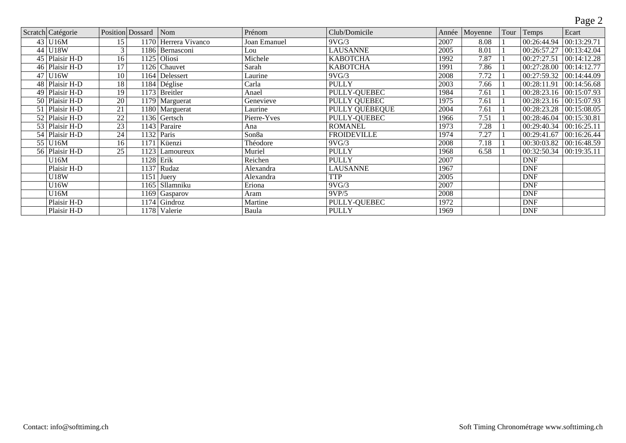## Page 2

|    | Scratch Catégorie           | Position Dossard |      | Nom                         | Prénom            | Club/Domicile         | Année | Moyenne | Tour | Temps                   | Ecart       |
|----|-----------------------------|------------------|------|-----------------------------|-------------------|-----------------------|-------|---------|------|-------------------------|-------------|
|    | $43 \mid \overline{U16M}$   | 15               |      | 1170 Herrera Vivanco        | Joan Emanuel      | $\overline{9V}G/3$    | 2007  | 8.08    |      | 00:26:44.94             | 00:13:29.71 |
| 44 | <b>U18W</b>                 | 3                |      | 1186 Bernasconi             | Lou               | <b>LAUSANNE</b>       | 2005  | 8.01    |      | 00:26:57.27             | 00:13:42.04 |
|    | 45 Plaisir H-D              | 16               |      | $1125$ Oliosi               | Michele           | <b>КАВОТСНА</b>       | 1992  | 7.87    |      | 00:27:27.51             | 00:14:12.28 |
|    | 46 Plaisir H-D              | 17               |      | 1126 Chauvet                | Sarah             | <b>КАВОТСНА</b>       | 1991  | 7.86    |      | 00:27:28.00             | 00:14:12.77 |
| 47 | U16W                        | 10               |      | $\overline{1164}$ Delessert | Laurine           | 9VG/3                 | 2008  | 7.72    |      | 00:27:59.32             | 00:14:44.09 |
|    | 48 Plaisir H-D              | 18               |      | 1184 Déglise                | Carla             | <b>PULLY</b>          | 2003  | 7.66    |      | 00:28:11.91             | 00:14:56.68 |
|    | 49 Plaisir H-D              | 19               |      | 1173 Breitler               | Anael             | <b>PULLY-QUEBEC</b>   | 1984  | 7.61    |      | 00:28:23.16             | 00:15:07.93 |
|    | 50 Plaisir H-D              | 20               |      | $\overline{1179}$ Marguerat | Genevieve         | <b>PULLY QUEBEC</b>   | 1975  | 7.61    |      | 00:28:23.16 00:15:07.93 |             |
| 51 | Plaisir H-D                 | 21               |      | 1180 Marguerat              | Laurine           | <b>PULLY QUÉBEQUE</b> | 2004  | 7.61    |      | 00:28:23.28             | 00:15:08.05 |
|    | 52 Plaisir H-D              | $\overline{22}$  |      | 1136 Gertsch                | Pierre-Yves       | <b>PULLY-QUEBEC</b>   | 1966  | 7.51    |      | 00:28:46.04             | 00:15:30.81 |
|    | 53 Plaisir H-D              | 23               |      | 1143 Paraire                | Ana               | <b>ROMANEL</b>        | 1973  | 7.28    |      | 00:29:40.34             | 00:16:25.11 |
|    | $\overline{54}$ Plaisir H-D | 24               |      | 1132 Paris                  | Son <sub>8a</sub> | <b>FROIDEVILLE</b>    | 1974  | 7.27    |      | 00:29:41.67             | 00:16:26.44 |
| 55 | U <sub>16</sub> M           | 16               | 1171 | Küenzi                      | Théodore          | 9VG/3                 | 2008  | 7.18    |      | 00:30:03.82             | 00:16:48.59 |
|    | 56 Plaisir H-D              | 25               | 1123 | Lamoureux                   | Muriel            | <b>PULLY</b>          | 1968  | 6.58    |      | 00:32:50.34             | 00:19:35.11 |
|    | U16M                        |                  |      | $1128$ Erik                 | Reichen           | <b>PULLY</b>          | 2007  |         |      | <b>DNF</b>              |             |
|    | Plaisir H-D                 |                  |      | 1137 Rudaz                  | Alexandra         | <b>LAUSANNE</b>       | 1967  |         |      | <b>DNF</b>              |             |
|    | U18W                        |                  | 1151 | Juery                       | Alexandra         | <b>TTP</b>            | 2005  |         |      | <b>DNF</b>              |             |
|    | U16W                        |                  |      | 1165 Sllamniku              | Eriona            | $9\overline{VG}/3$    | 2007  |         |      | DNF                     |             |
|    | U16M                        |                  |      | $\overline{1169}$ Gasparov  | Aram              | 9VP/5                 | 2008  |         |      | <b>DNF</b>              |             |
|    | Plaisir H-D                 |                  |      | 1174 Gindroz                | Martine           | <b>PULLY-QUEBEC</b>   | 1972  |         |      | <b>DNF</b>              |             |
|    | Plaisir H-D                 |                  |      | 1178 Valerie                | Baula             | <b>PULLY</b>          | 1969  |         |      | <b>DNF</b>              |             |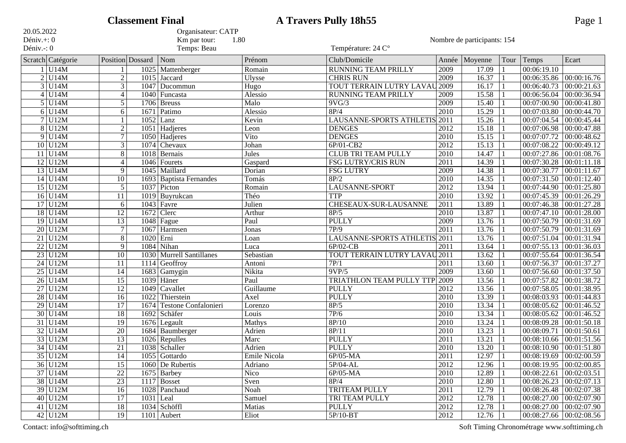| <b>Classement Final</b><br>20.05.2022<br>Organisateur: CATP |                        |                 |                        |                             |                    | <b>A Travers Pully 18h55</b><br>Page 1 |                   |                             |      |                             |                           |  |  |
|-------------------------------------------------------------|------------------------|-----------------|------------------------|-----------------------------|--------------------|----------------------------------------|-------------------|-----------------------------|------|-----------------------------|---------------------------|--|--|
|                                                             |                        |                 |                        |                             |                    |                                        |                   |                             |      |                             |                           |  |  |
| Déniv. $+$ : 0<br>Déniv.-: 0                                |                        |                 |                        | Km par tour:<br>Temps: Beau | 1.80               | Température: 24 C°                     |                   | Nombre de participants: 154 |      |                             |                           |  |  |
|                                                             | Scratch Catégorie      |                 | Position Dossard       | Nom                         | Prénom             | Club/Domicile                          | Année             | Moyenne                     | Tour | Temps                       | Ecart                     |  |  |
|                                                             | $1$ U <sub>14</sub> M  |                 | 1025                   | Mattenberger                | Romain             | RUNNING TEAM PRILLY                    | 2009              | 17.09                       |      | 00:06:19.10                 |                           |  |  |
|                                                             | $2$ U <sub>14</sub> M  | $\overline{2}$  | 1015                   | Jaccard                     | Ulysse             | <b>CHRIS RUN</b>                       | 2009              | 16.37                       |      |                             | 00:06:35.86 00:00:16.76   |  |  |
|                                                             | $3$ U <sub>14</sub> M  | $\overline{3}$  | 1047                   | Ducommun                    | $\overline{H}$ ugo | TOUT TERRAIN LUTRY LAVAU 2009          |                   | 16.17                       |      | 00:06:40.73                 | 00:00:21.63               |  |  |
|                                                             | $4$ U <sub>14</sub> M  | $\overline{4}$  | 1040                   | Funcasta                    | Alessio            | <b>RUNNING TEAM PRILLY</b>             | 2009              | 15.58                       |      | 00:06:56.04                 | 00:00:36.94               |  |  |
|                                                             | $5$ U <sub>14</sub> M  | $\overline{5}$  | 1706                   | <b>Breuss</b>               | Malo               | 9VG/3                                  | 2009              | 15.40                       |      | 00:07:00.90                 | 00:00:41.80               |  |  |
|                                                             | $6$ U <sub>14</sub> M  | 6               | 1671                   | Patimo                      | Alessio            | 8P/4                                   | $\overline{2010}$ | 15.29                       |      | 00:07:03.80                 | 00:00:44.70               |  |  |
|                                                             | $7$ U12M               |                 | 1052                   | Lanz                        | Kevin              | <b>LAUSANNE-SPORTS ATHLETIS</b>        | $\overline{2011}$ | 15.26                       |      | 00:07:04.54                 | 00:00:45.44               |  |  |
|                                                             | $8$ U12M               | $\mathbf{2}$    | 1051                   | Hadjeres                    | Leon               | <b>DENGES</b>                          | 2012              | 15.18                       |      | 00:07:06.98                 | 00:00:47.88               |  |  |
|                                                             | $9$ U <sub>14</sub> M  | 7               | 1050                   | Hadjeres                    | Vito               | <b>DENGES</b>                          | 2010              | 15.15                       |      | 00:07:07.72                 | 00:00:48.62               |  |  |
|                                                             | $10$ U12M              | $\overline{3}$  | 1074                   | Chevaux                     | Johan              | 6P/01-CB2                              | 2012              | 15.13                       |      | 00:07:08.22                 | 00:00:49.12               |  |  |
|                                                             | $11$ U14M              | $8\phantom{.}$  | 1018                   | Bernais                     | Jules              | <b>CLUB TRI TEAM PULLY</b>             | $\overline{2010}$ | 14.47                       |      | 00:07:27.86                 | 00:01:08.76               |  |  |
|                                                             | $12$ U12M              | $\overline{4}$  | 1046                   | Fourets                     | Gaspard            | <b>FSG LUTRY/CRIS RUN</b>              | $\overline{2011}$ | 14.39                       |      | 00:07:30.28                 | 00:01:11.18               |  |  |
|                                                             | $13$ U14M              | 9               | 1045                   | Maillard                    | Dorian             | <b>FSG LUTRY</b>                       | 2009              | 14.38                       |      | 00:07:30.77                 | 00:01:11.67               |  |  |
|                                                             | $14$ U14M              | $\overline{10}$ | 1693                   | <b>Baptista Fernandes</b>   | Tomás              | 8P/2                                   | $\overline{2010}$ | 14.35                       |      | 00:07:31.50                 | 00:01:12.40               |  |  |
|                                                             | $15$ U12M              | $\overline{5}$  | 1037                   | Picton                      | Romain             | <b>LAUSANNE-SPORT</b>                  | 2012              | 13.94                       |      | 00:07:44.90                 | 00:01:25.80               |  |  |
|                                                             | $16$ U14M              | 11              | 1019                   | Buyrukcan                   | Théo               | <b>TTP</b>                             | $\overline{2010}$ | 13.92                       |      | 00:07:45.39                 | 00:01:26.29               |  |  |
|                                                             | $17$ U12M              | 6               | 1043                   | Favre                       | Julien             | CHESEAUX-SUR-LAUSANNE                  | 2011              | 13.89                       |      | 00:07:46.38                 | 00:01:27.28               |  |  |
|                                                             | $18$ U14M              | 12              | 1672                   | Clerc                       | Arthur             | 8P/5                                   | $\overline{2010}$ | 13.87                       |      | 00:07:47.10                 | 00:01:28.00               |  |  |
|                                                             | $19$ U14M              | $\overline{13}$ | 1048                   | Fague                       | Paul               | <b>PULLY</b>                           | 2009              | 13.76                       |      | 00:07:50.79                 | 00:01:31.69               |  |  |
|                                                             | $20$ U12M              | $\overline{7}$  | 1067                   | Harmsen                     | Jonas              | 7P/9                                   | $\overline{2011}$ | 13.76                       |      | 00:07:50.79                 | 00:01:31.69               |  |  |
|                                                             | $21$ U12M              | $\overline{8}$  | 1020                   | Erni                        | Loan               | LAUSANNE-SPORTS ATHLETIS 2011          |                   | 13.76                       |      | 00:07:51.04                 | 00:01:31.94               |  |  |
|                                                             | $22$ U12M              | 9               |                        | 1084 Nihan                  | Luca               | $6P/02-CB$                             | 2011              | 13.64                       |      | 00:07:55.13                 | 00:01:36.03               |  |  |
| $\overline{23}$                                             | U12M                   | $\overline{10}$ | 1030                   | <b>Murrell Santillanes</b>  | Sebastian          | TOUT TERRAIN LUTRY LAVAU               | $\frac{1}{2011}$  | 13.62                       |      | 00:07:55.64                 | 00:01:36.54               |  |  |
|                                                             | $24$ U12M              | 11              | 1114                   | Geoffroy                    | Antoni             | 7P/1                                   | 2011              | 13.60                       |      | 00:07:56.37                 | 00:01:37.27               |  |  |
|                                                             | $25$ U <sub>14</sub> M | 14              | 1683                   | Gamygin                     | Nikita             | 9VP/5                                  | 2009              | 13.60                       |      | 00:07:56.60                 | 00:01:37.50               |  |  |
|                                                             | $26$ U <sub>14</sub> M | $\overline{15}$ | 1039                   | Häner                       | Paul               | TRIATHLON TEAM PULLY TTP               | 2009              | 13.56                       |      | 00:07:57.82                 | 00:01:38.72               |  |  |
|                                                             | $27$ U12M              | $\overline{12}$ | 1049                   | Cavallet                    | Guillaume          | <b>PULLY</b>                           | 2012              | 13.56                       |      | 00:07:58.05                 | 00:01:38.95               |  |  |
|                                                             | $28$ U <sub>14</sub> M | $\overline{16}$ | 1022                   | Thierstein                  | Axel               | <b>PULLY</b>                           | 2010              | 13.39                       |      | 00:08:03.93                 | 00:01:44.83               |  |  |
|                                                             | $29$ U14M              | $\overline{17}$ | 1674                   | <b>Testone Confalonieri</b> | Lorenzo            | 8P/5                                   | 2010              | 13.34                       |      | 00:08:05.62                 | 00:01:46.52               |  |  |
|                                                             | $30$ U14M              | $\overline{18}$ | 1692                   | Schäfer                     | Louis              | 7P/6                                   | 2010              | 13.34                       |      | 00:08:05.62                 | 00:01:46.52               |  |  |
|                                                             | $31$ U14M              | $\overline{19}$ | 1676                   | Legault                     | Mathys             | 8P/10                                  | 2010              | 13.24                       |      | 00:08:09.28                 | 00:01:50.18               |  |  |
|                                                             | $32$ U14M              | $\overline{20}$ | 1684                   | Baumberger                  | Adrien             | 8P/11                                  | $\overline{2010}$ | 13.23                       |      | 00:08:09.71                 | 00:01:50.61               |  |  |
|                                                             | $33$ U12M              | $\overline{13}$ |                        | 1026 Repulles               | Marc               | <b>PULLY</b>                           | 2011              | 13.21                       |      | 00:08:10.66 00:01:51.56     |                           |  |  |
|                                                             | $34$ U <sub>14</sub> M | 21              |                        | 1038 Schaller               | Adrien             | <b>PULLY</b>                           | 2010              | 13.20                       | -11  | 00:08:10.90 00:01:51.80     |                           |  |  |
|                                                             | $35$ U12M              | $\overline{14}$ |                        | $1055$ Gottardo             | Emile Nicola       | $6P/05-MA$                             | 2011              | 12.97                       |      | $00:08:19.69$ $00:02:00.59$ |                           |  |  |
|                                                             | $36$ U12M              | $\overline{15}$ |                        | 1060 De Rubertis            | Adriano            | $5P/04-AL$                             | 2012              | 12.96                       |      |                             | 00:08:19.95 00:02:00.85   |  |  |
|                                                             | $37$ U14M              | $\overline{22}$ |                        | $1675$ Barbey               | Nico               | $6P/05-MA$                             | 2010              | 12.89                       |      |                             | $00:08:22.61$ 00:02:03.51 |  |  |
|                                                             | 38 U14M                | $\overline{23}$ |                        | 1117 Bosset                 | Sven               | 8P/4                                   | 2010              | 12.80                       |      | $00:08:26.23$ 00:02:07.13   |                           |  |  |
|                                                             | $39$ U12M              | $\overline{16}$ |                        | 1028 Panchaud               | Noah               | <b>TRITEAM PULLY</b>                   | 2011              | 12.79                       |      | 00:08:26.48 00:02:07.38     |                           |  |  |
|                                                             | $40$ U12M              | 17              | $\overline{1031}$ Leal |                             | Samuel             | TRI TEAM PULLY                         | $\sqrt{2012}$     | 12.78                       |      | 00:08:27.00 00:02:07.90     |                           |  |  |
|                                                             | $41$ U12M              | $\overline{18}$ |                        | 1034 Schöffl                | Matias             | <b>PULLY</b>                           | 2012              | 12.78                       |      |                             | 00:08:27.00 00:02:07.90   |  |  |
|                                                             | 42 U12M                | 19              |                        | 1101 Aubert                 | Eliot              | $5P/10-BT$                             | 2012              | 12.76                       |      |                             | 00:08:27.66 00:02:08.56   |  |  |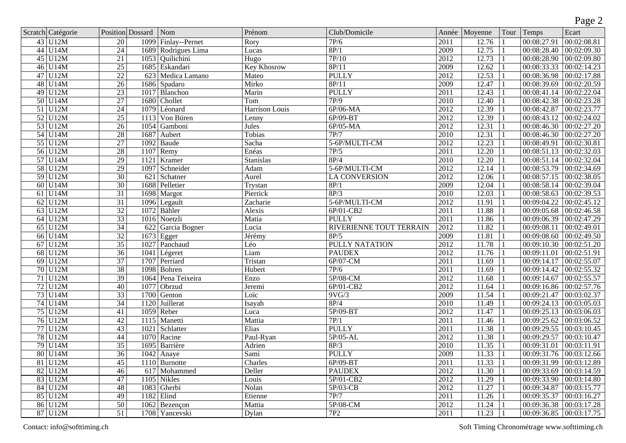|                 |                            |                 |                  |                             |                       |                                |                   |             |              |                         | Page 2                                      |
|-----------------|----------------------------|-----------------|------------------|-----------------------------|-----------------------|--------------------------------|-------------------|-------------|--------------|-------------------------|---------------------------------------------|
|                 | Scratch Catégorie          |                 | Position Dossard | Nom                         | Prénom                | Club/Domicile                  | Année             | Moyenne     | Tour         | Temps                   | Ecart                                       |
|                 | 43 U12M                    | $\overline{20}$ | 1099             | Finlay--Pernet              | Rory                  | 7P/6                           | $\overline{2011}$ | 12.76       |              | 00:08:27.91             | 00:02:08.81                                 |
|                 | 44 U14M                    | $\overline{24}$ | 1689             | Rodrigues Lima              | Lucas                 | 8P/1                           | 2009              | 12.75       |              | 00:08:28.40             | 00:02:09.30                                 |
|                 | $45$ U12M                  | $\overline{21}$ | 1053             | Quilichini                  | $\overline{Hug}$      | 7P/10                          | $\overline{2012}$ | 12.73       |              | 00:08:28.90             | 00:02:09.80                                 |
| 46              | U14M                       | $\overline{25}$ | 1685             | Eskandari                   | <b>Key Khosrow</b>    | 8P/11                          | 2009              | 12.62       |              | 00:08:33.33             | 00:02:14.23                                 |
| $\overline{47}$ | U12M                       | $\overline{22}$ |                  | 623 Medica Lamano           | Mateo                 | <b>PULLY</b>                   | 2012              | 12.53       | 1            | 00:08:36.98             | 00:02:17.88                                 |
|                 | 48 U14M                    | $\overline{26}$ | 1686             | Spadaro                     | Mirko                 | 8P/11                          | 2009              | 12.47       | 1            | 00:08:39.69             | 00:02:20.59                                 |
| 49              | U12M                       | $\overline{23}$ | 1017             | Blanchon                    | Marin                 | <b>PULLY</b>                   | $\overline{2011}$ | 12.43       |              | 00:08:41.14             | 00:02:22.04                                 |
| $\overline{50}$ | U14M                       | 27              | 1680             | Chollet                     | Tom                   | 7P/9                           | 2010              | 12.40       |              | 00:08:42.38             | 00:02:23.28                                 |
|                 | $51$ U12M                  | 24              | 1079             | Léonard                     | <b>Harrison Louis</b> | $6P/06-MA$                     | 2012              | 12.39       | 1            | 00:08:42.87             | 00:02:23.77                                 |
|                 | $52$ U12M                  | $\overline{25}$ | 1113             | Von Büren                   | Lenny                 | $6P/09-BT$                     | 2012              | 12.39       | 1            | 00:08:43.12             | 00:02:24.02                                 |
|                 | $53$ U12M                  | $\overline{26}$ | 1054             | Gamboni                     | Jules                 | $6P/05-MA$                     | $\overline{2012}$ | 12.31       | 1            | 00:08:46.30             | 00:02:27.20                                 |
|                 | $54$ U14M                  | 28              | 1687             | Aubert                      | Tobias                | 7P/7                           | $\overline{2010}$ | 12.31       |              | 00:08:46.30             | 00:02:27.20                                 |
|                 | 55 U12M                    | 27              | 1092             | Baude                       | Sacha                 | 5-6P/MULTI-CM                  | 2012              | 12.23       | -1           | 00:08:49.91             | 00:02:30.81                                 |
|                 | $56$ U12M                  | $\overline{28}$ | 1107             | Remy                        | Enéas                 | 7P/5                           | 2011              | 12.20       | $\mathbf{1}$ | 00:08:51.13             | 00:02:32.03                                 |
|                 | $57$ U14M                  | $\overline{29}$ | 1121             | Kramer                      | <b>Stanislas</b>      | 8P/4                           | $\overline{2010}$ | 12.20       |              | 00:08:51.14             | 00:02:32.04                                 |
|                 | 58 U12M                    | 29              | 1097             | Schneider                   | Adam                  | 5-6P/MULTI-CM                  | 2012              | 12.14       |              | 00:08:53.79             | 00:02:34.69                                 |
| 59              | U12M                       | $\overline{30}$ | 621              | Schatner                    | Aurel                 | <b>LA CONVERSION</b>           | 2012              | 12.06       |              | 00:08:57.15             | 00:02:38.05                                 |
| 60              | U14M                       | $\overline{30}$ | 1688             | Pelletier                   | Trystan               | 8P/1                           | 2009              | 12.04       | 1            | 00:08:58.14             | 00:02:39.04                                 |
| $\overline{61}$ | U14M                       | $\overline{31}$ | 1698             | Margot                      | Pierrick              | $\overline{8P/3}$              | 2010              | 12.03       |              | 00:08:58.63             | 00:02:39.53                                 |
| $\overline{62}$ | U12M                       | $\overline{31}$ | 1096             | Legault                     | Zacharie              | 5-6P/MULTI-CM                  | 2012              | 11.91       |              | 00:09:04.22             | 00:02:45.12                                 |
| 63              | U12M                       | $\overline{32}$ | 1072             | Bähler                      | Alexis                | 6P/01-CB2                      | $\overline{2011}$ | 11.88       |              | 00:09:05.68             | 00:02:46.58                                 |
| 64              | U12M                       | $\overline{33}$ |                  | 1016 Noetzli                | Matia                 | <b>PULLY</b>                   | 2011              | 11.86       | -1           | 00:09:06.39             | 00:02:47.29                                 |
| $\overline{65}$ | U12M                       | $\overline{34}$ | 622              | Garcia Bogner               | Lucia                 | <b>RIVERIENNE TOUT TERRAIN</b> | 2012              | 11.82       |              | 00:09:08.11             | 00:02:49.01                                 |
| 66              | U14M                       | $\overline{32}$ | 1673             | Egger                       | Jérémy                | 8P/5                           | 2009              | 11.81       | 1            | 00:09:08.60             | 00:02:49.50                                 |
| 67              | U12M                       | $\overline{35}$ | 1027             | Panchaud                    | Léo                   | <b>PULLY NATATION</b>          | 2012              | 11.78       | 1            | 00:09:10.30             | 00:02:51.20                                 |
| 68              | U12M                       | $\overline{36}$ | 1041             | Légeret                     | Liam                  | <b>PAUDEX</b>                  | 2012              | 11.76       | 1            | 00:09:11.01             | 00:02:51.91                                 |
| $\overline{69}$ | $\overline{\mathrm{U12M}}$ | $\overline{37}$ | 1707             | Perriard                    | Tristan               | 6P/07-CM                       | $\overline{2011}$ | 11.69       | $\mathbf{1}$ | 00:09:14.17             | 00:02:55.07                                 |
|                 | 70 U12M                    | 38              | 1098             | Bohren                      | Hubert                | 7P/6                           | $\overline{2011}$ | 11.69       |              | 00:09:14.42             | 00:02:55.32                                 |
|                 | $71$ U12M                  | 39              | 1064             | Pena Teixeira               | Enzo                  | 5P/08-CM                       | 2012              | 11.68       | 1            | 00:09:14.67             | 00:02:55.57                                 |
|                 | $72$ U12M                  | $\overline{40}$ | 1077             | Obrzud                      | Jeremi                | 6P/01-CB2                      | 2012              | 11.64       | 1            | 00:09:16.86             | 00:02:57.76                                 |
|                 | $73$ U14M                  | $\overline{33}$ | 1700             | Genton                      | Loïc                  | 9VG/3                          | 2009              | 11.54       | 1            | 00:09:21.47             | 00:03:02.37                                 |
|                 | 74 U14M                    | 34              | 1120             | Juillerat                   | Isayah                | 8P/4                           | 2010              | 11.49       | 1            | 00:09:24.13             | 00:03:05.03                                 |
|                 | 75 U12M                    | $\overline{41}$ | 1059             | Reber                       | Luca                  | 5P/09-BT                       | 2012              | 11.47       |              | 00:09:25.13             | 00:03:06.03                                 |
|                 | $76$ U12M                  | 42              | 1115             | Manetti                     | Mattia                | 7P/1                           | $\overline{2011}$ | 11.46       |              | 00:09:25.62             | 00:03:06.52                                 |
| 77              | U <sub>12M</sub>           | $\overline{43}$ | 1021             | Schlatter                   | Elias                 | <b>PULLY</b>                   | $\overline{2011}$ | 11.38       |              | 00:09:29.55             | 00:03:10.45                                 |
| 78              | U12M                       | 44              | 1070             | Racine                      | Paul-Ryan             | $5P/05-AL$                     | $\overline{2012}$ | 11.38       |              | 00:09:29.57             | 00:03:10.47                                 |
|                 | $79$ U14M                  | $\overline{35}$ |                  | 1695 Barrière               | Adrien                | 8P/3                           | 2010              | 11.35       | 1            | 00:09:31.01 00:03:11.91 |                                             |
|                 | $80$ U <sub>14</sub> M     | $\overline{36}$ |                  | $1042$ Anaye                | Sami                  | <b>PULLY</b>                   | 2009              | $11.33$   1 |              | 00:09:31.76 00:03:12.66 |                                             |
|                 | $81$ U12M                  | $\overline{45}$ |                  | 1110 Burnotte               | Charles               | 6P/09-BT                       | $\overline{2011}$ | 11.33       | -1           |                         | 00:09:31.99 00:03:12.89                     |
|                 | $82$ U12M                  | $\overline{46}$ |                  | 617 Mohammed                | Deller                | <b>PAUDEX</b>                  | 2012              | 11.30       | -1           |                         | $\boxed{00:09:33.69}$ $\boxed{00:03:14.59}$ |
|                 | 83 U12M                    | 47              |                  | 1105 Nikles                 | Louis                 | 5P/01-CB2                      | 2012              | 11.29       | -1           |                         | $00:09:33.90$ $00:03:14.80$                 |
|                 | $84$ U12M                  | 48              |                  | $1083$ Gherbi               | Nolan                 | 5P/03-CB                       | 2012              | 11.27       | 1            | 00:09:34.87             | 00:03:15.77                                 |
|                 | $85$ U <sub>12</sub> M     | 49              |                  | $1182$ Elind                | Etienne               | 7P/7                           | 2011              | 11.26       | -1           | 00:09:35.37             | $\sqrt{00:03:16.27}$                        |
|                 | $86$ U12M                  | 50              | 1062             | Bezençon                    | Mattia                | $5P/08-CM$                     | 2012              | 11.24       |              | 00:09:36.38             | 00:03:17.28                                 |
|                 | $87$ U12M                  | 51              |                  | $\overline{1708}$ Yancevski | Dylan                 | 7P2                            | 2011              | $11.23$   1 |              | 00:09:36.85             | 00:03:17.75                                 |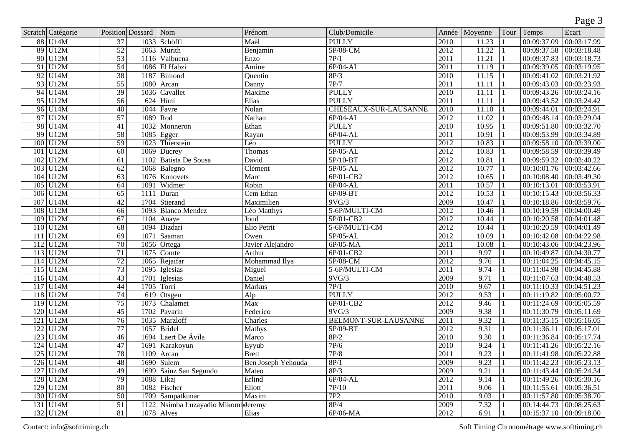|     |                   |                 |                  |                               |                           |                             |      |               |                |                           | Page 3                      |
|-----|-------------------|-----------------|------------------|-------------------------------|---------------------------|-----------------------------|------|---------------|----------------|---------------------------|-----------------------------|
|     | Scratch Catégorie |                 | Position Dossard | Nom                           | Prénom                    | Club/Domicile               |      | Année Moyenne | Tour           | Temps                     | Ecart                       |
|     | 88 U14M           | $\overline{37}$ | 1033             | Schöffl                       | Maël                      | <b>PULLY</b>                | 2010 | 11.23         |                | 00:09:37.09               | 00:03:17.99                 |
|     | $89$ U12M         | $\overline{52}$ | 1063             | Murith                        | Benjamin                  | 5P/08-CM                    | 2012 | 11.22         |                | 00:09:37.58               | 00:03:18.48                 |
|     | $90$ U12M         | $\overline{53}$ | 1116             | Valbuena                      | Enzo                      | 7P/1                        | 2011 | 11.21         | -1             | 00:09:37.83               | 00:03:18.73                 |
| 91  | U12M              | 54              | 1086             | El Habzi                      | Amine                     | $6P/04-AL$                  | 2011 | 11.19         | 1              | 00:09:39.05               | 00:03:19.95                 |
|     | $92$ U14M         | 38              | 1187             | Bimond                        | Quentin                   | 8P/3                        | 2010 | 11.15         | $\mathbf{1}$   | 00:09:41.02               | 00:03:21.92                 |
|     | 93 U12M           | $\overline{55}$ | 1080             | Arcan                         | Danny                     | 7P/7                        | 2011 | 11.11         | 1              | 00:09:43.03               | 00:03:23.93                 |
|     | $94$ U14M         | $\overline{39}$ | 1036             | Cavallet                      | Maxime                    | <b>PULLY</b>                | 2010 | 11.11         | 1              | 00:09:43.26               | 00:03:24.16                 |
|     | $95$ U12M         | 56              | 624              | Hüni                          | Elias                     | <b>PULLY</b>                | 2011 | 11.11         | 1              | 00:09:43.52               | 00:03:24.42                 |
|     | $96$ U14M         | 40              | 1044             | Favre                         | Nolan                     | CHESEAUX-SUR-LAUSANNE       | 2010 | 11.10         | $\mathbf{1}$   | 00:09:44.01               | 00:03:24.91                 |
|     | 97 U12M           | $\overline{57}$ | 1089             | Rod                           | Nathan                    | 6P/04-AL                    | 2012 | 11.02         |                | 00:09:48.14               | 00:03:29.04                 |
|     | 98 U14M           | 41              | 1032             | Monneron                      | Ethan                     | <b>PULLY</b>                | 2010 | 10.95         | $\mathbf{1}$   | 00:09:51.80               | 00:03:32.70                 |
|     | 99 U12M           | 58              | 1085             | Egger                         | Rayan                     | $6P/04-AL$                  | 2011 | 10.91         | 1              | 00:09:53.99               | 00:03:34.89                 |
|     | 100 U12M          | 59              | 1023             | Thierstein                    | Léo                       | <b>PULLY</b>                | 2012 | 10.83         |                | 00:09:58.10               | 00:03:39.00                 |
|     | 101 U12M          | $\overline{60}$ | 1069             | Ducrey                        | Thomas                    | 5P/05-AL                    | 2012 | 10.83         | -1             | 00:09:58.59               | 00:03:39.49                 |
|     | 102 U12M          | $\overline{61}$ | 1102             | <b>Batista De Sousa</b>       | David                     | $5P/10-BT$                  | 2012 | 10.81         | 1              | 00:09:59.32               | 00:03:40.22                 |
|     | 103 U12M          | $\overline{62}$ | 1068             | Balegno                       | Clément                   | $5P/05-AL$                  | 2012 | 10.77         | $\mathbf{1}$   | 00:10:01.76               | 00:03:42.66                 |
| 104 | U12M              | 63              | 1076             | Konovets                      | Marc                      | 6P/01-CB2                   | 2012 | 10.65         |                | 00:10:08.40               | 00:03:49.30                 |
| 105 | U12M              | 64              | 1091             | Widmer                        | Robin                     | $6P/04-AL$                  | 2011 | 10.57         | $\mathbf{1}$   | 00:10:13.01               | 00:03:53.91                 |
|     | $106$ U12M        | $\overline{65}$ | 1111             | Duran                         | Cem Ethan                 | $6P/09-BT$                  | 2012 | 10.53         | $\mathbf{1}$   | 00:10:15.43               | 00:03:56.33                 |
|     | $107$ U14M        | 42              | 1704             | Stierand                      | Maximilien                | 9VG/3                       | 2009 | 10.47         | $\mathbf{1}$   | 00:10:18.86               | 00:03:59.76                 |
|     | 108 U12M          | 66              | 1093             | <b>Blanco Mendez</b>          | Léo Matthys               | 5-6P/MULTI-CM               | 2012 | 10.46         |                | 00:10:19.59               | 00:04:00.49                 |
|     | 109 U12M          | $\overline{67}$ | 1104             | Anaye                         | Joud                      | 5P/01-CB2                   | 2012 | 10.44         |                | 00:10:20.58               | 00:04:01.48                 |
|     | 110 U12M          | 68              | 1094             | Dizdari                       | Elio Petrit               | 5-6P/MULTI-CM               | 2012 | 10.44         | 1              | 00:10:20.59               | 00:04:01.49                 |
|     | $111$ U12M        | 69              | 1071             | Saaman                        | Owen                      | $5P/05-AL$                  | 2012 | 10.09         | 1              | 00:10:42.08               | 00:04:22.98                 |
|     | $112$ U12M        | 70              | 1056             | Ortega                        | Javier Alejandro          | $6P/05-MA$                  | 2011 | 10.08         |                | 00:10:43.06               | 00:04:23.96                 |
|     | $113$ U12M        | 71              | 1075             | Comte                         | Arthur                    | $6P/01-CB2$                 | 2011 | 9.97          | 1              | 00:10:49.87               | 00:04:30.77                 |
|     | $114$ U12M        | 72              | 1065             | Rejaifar                      | Mohammad Ilya             | 5P/08-CM                    | 2012 | 9.76          |                | 00:11:04.25               | 00:04:45.15                 |
|     | $115$ U12M        | 73              | 1095             | Iglesias                      | Miguel                    | 5-6P/MULTI-CM               | 2011 | 9.74          |                | 00:11:04.98               | 00:04:45.88                 |
|     | $116$ U14M        | 43              | 1701             | Iglesias                      | Daniel                    | 9VG/3                       | 2009 | 9.71          | 1              | 00:11:07.63               | 00:04:48.53                 |
|     | $117$ U14M        | $\overline{44}$ | 1705             | Torri                         | <b>Markus</b>             | 7P/1                        | 2010 | 9.67          | 1              | 00:11:10.33               | 00:04:51.23                 |
|     | 118 U12M          | $\overline{74}$ | 619              | Otsgeu                        | $\overline{Alp}$          | <b>PULLY</b>                | 2012 | 9.53          | 1              | 00:11:19.82               | 00:05:00.72                 |
|     | $119$ U12M        | 75              | 1073             | Chalamet                      | Max                       | 6P/01-CB2                   | 2012 | 9.46          |                | 00:11:24.69               | 00:05:05.59                 |
|     | 120 U14M          | 45              | 1702             | Pavarin                       | Federico                  | 9VG/3                       | 2009 | 9.38          |                | 00:11:30.79               | 00:05:11.69                 |
|     | $121$ U12M        | $\overline{76}$ | 1035             | Marzloff                      | Charles                   | <b>BELMONT-SUR-LAUSANNE</b> | 2011 | 9.32          |                | 00:11:35.15               | 00:05:16.05                 |
|     | $122$ U12M        | 77              | 1057             | <b>Bridel</b>                 | Mathys                    | 5P/09-BT                    | 2012 | 9.31          |                | 00:11:36.11               | 00:05:17.01                 |
| 123 | U14M              | $\overline{46}$ | 1694             | Laert De Ávila                | Marco                     | 8P/2                        | 2010 | 9.30          |                | 00:11:36.84               | 00:05:17.74                 |
|     | $124$ U14M        | 47              |                  | 1691 Karakoyun                | Eyyub                     | 7P/6                        | 2010 | 9.24          | $\overline{1}$ | $00:11:41.26$ 00:05:22.16 |                             |
|     | $125$ U12M        | $\overline{78}$ | 1109             | Arcan                         | <b>Brett</b>              | 7P/8                        | 2011 | 9.23          | 1              | 00:11:41.98 00:05:22.88   |                             |
|     | $126$ U14M        | 48              | 1690             | Sulem                         | <b>Ben Joseph Yehouda</b> | 8P/1                        | 2009 | 9.23          | -1             | 00:11:42.23               | $\sqrt{00:05:23.13}$        |
|     | $127$ U14M        | 49              | 1699             | Sainz San Segundo             | Mateo                     | 8P/3                        | 2009 | 9.21          | -1             |                           | $00:11:43.44$ $00:05:24.34$ |
|     | 128 U12M          | 79              | 1088             | Likaj                         | Erlind                    | $6P/04-AL$                  | 2012 | 9.14          | -1             |                           | 00:11:49.26 00:05:30.16     |
|     | $129$ U12M        | $\overline{80}$ | 1082             | Fischer                       | Eliott                    | 7P/10                       | 2011 | 9.06          | -1             | 00:11:55.61               | 00:05:36.51                 |
|     | $130$ U14M        | $\overline{50}$ | 1709             | Sampatkunar                   | Maxim                     | 7P2                         | 2010 | 9.03          |                | 00:11:57.80               | 00:05:38.70                 |
|     | $131$ U14M        | $\overline{51}$ | 1122             | Nsimba Luzayadio Mikombderemy |                           | 8P/4                        | 2009 | 7.32          | -1             | 00:14:44.73               | 00:08:25.63                 |
|     | $132$ U12M        | 81              |                  | 1078 Alves                    | Elias                     | $6P/06-MA$                  | 2012 | 6.91          | $\perp$        |                           | 00:15:37.10 00:09:18.00     |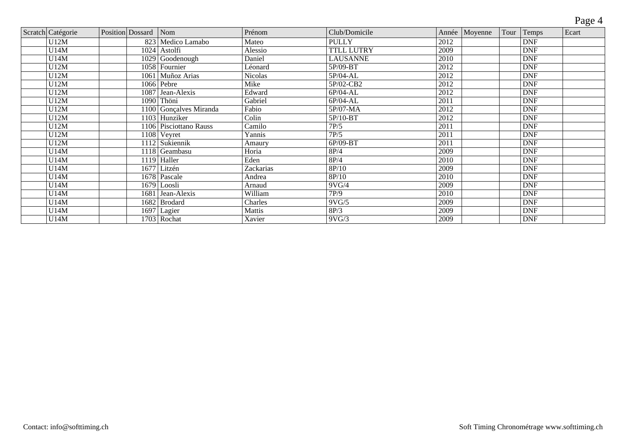|           |                      |                        |                |                   |      |               |      |            | Page 4 |
|-----------|----------------------|------------------------|----------------|-------------------|------|---------------|------|------------|--------|
| Catégorie | Position Dossard Nom |                        | Prénom         | Club/Domicile     |      | Année Moyenne | Tour | Temps      | Ecart  |
| U12M      |                      | 823   Medico Lamabo    | Mateo          | <b>PULLY</b>      | 2012 |               |      | <b>DNF</b> |        |
| U14M      |                      | $1024$ Astolfi         | Alessio        | <b>TTLL LUTRY</b> | 2009 |               |      | <b>DNF</b> |        |
| U14M      |                      | $1029$ Goodenough      | Daniel         | <b>LAUSANNE</b>   | 2010 |               |      | <b>DNF</b> |        |
| U12M      |                      | 1058 Fournier          | Léonard        | $5P/09-BT$        | 2012 |               |      | <b>DNF</b> |        |
| U12M      |                      | 1061 Muñoz Arias       | <b>Nicolas</b> | $5P/04-AL$        | 2012 |               |      | <b>DNF</b> |        |
| U12M      |                      | $1066$ Pebre           | Mike           | 5P/02-CB2         | 2012 |               |      | <b>DNF</b> |        |
| U12M      |                      | 1087 Jean-Alexis       | Edward         | 6P/04-AL          | 2012 |               |      | <b>DNF</b> |        |
| U12M      |                      | 1090 Thöni             | Gabriel        | 6P/04-AL          | 2011 |               |      | <b>DNF</b> |        |
| U12M      |                      | 1100 Gonçalves Miranda | Fabio          | 5P/07-MA          | 2012 |               |      | <b>DNF</b> |        |
| U12M      |                      | 1103 Hunziker          | Colin          | 5P/10-BT          | 2012 |               |      | <b>DNF</b> |        |
| U12M      |                      | 1106 Pisciottano Rauss | Camilo         | 7P/5              | 2011 |               |      | <b>DNF</b> |        |
| U12M      |                      | 1108 Veyret            | Yannis         | 7P/5              | 2011 |               |      | <b>DNF</b> |        |

U12M 1108 Veyret Yannis 7P/5 2011 DNF U12M 1112 Sukiennik Amaury 6P/09-BT 2011 DNF U14M 1118 Geambasu Horia 8P/4 2009 DNF U14M | 1119 | Haller | Eden | 8P/4 | 2010 | | | DNF U14M 1677 Litzén Zackarias 8P/10 2009 DNF U14M 1678 Pascale Andrea 8P/10 2010 DNF U14M 1679 Loosli Arnaud 9VG/4 2009 DNF U14M | 1681 Jean-Alexis | William | 7P/9 | 2010 | | | DNF U14M | 1682 | Brodard | Charles | 9VG/5 | 2009 | | | DNF U14M 1697 Lagier Mattis 8P/3 2009 DNF U14M 1703 Rochat Xavier 9VG/3 2009 DNF

Scratch Catégorie Position Dossard Nom<br>
V12M 823 Medi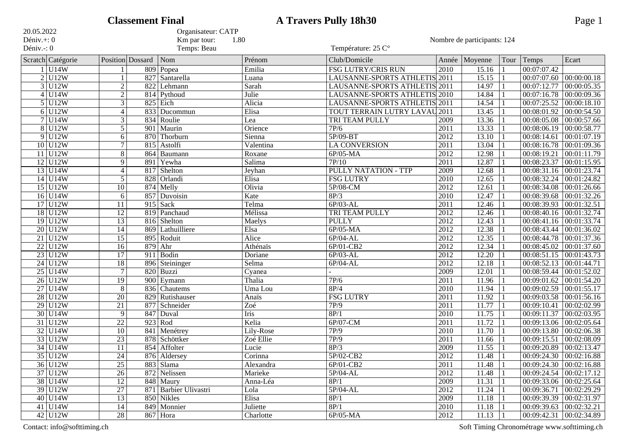|                          |                  | <b>Classement Final</b> |                       |                               | <b>A Travers Pully 18h30</b>         |                   |                             |      |                             | Page 1                      |
|--------------------------|------------------|-------------------------|-----------------------|-------------------------------|--------------------------------------|-------------------|-----------------------------|------|-----------------------------|-----------------------------|
| 20.05.2022               |                  |                         | Organisateur: CATP    |                               |                                      |                   |                             |      |                             |                             |
| Déniv. $+$ : 0           |                  |                         | Km par tour:          | 1.80                          |                                      |                   | Nombre de participants: 124 |      |                             |                             |
| Déniv.-: 0               |                  |                         | Temps: Beau           |                               | Température: 25 C°                   |                   |                             |      |                             |                             |
| Scratch Catégorie        |                  | Position Dossard        | Nom                   | Prénom                        | Club/Domicile                        | Année             | Moyenne                     | Tour | Temps                       | Ecart                       |
| U14W                     |                  | 809                     | Popea                 | Emilia                        | <b>FSG LUTRY/CRIS RUN</b>            | 2010              | 15.16                       |      | 00:07:07.42                 |                             |
| $\overline{2}$<br>U12W   |                  | 827                     | Santarella            | Luana                         | LAUSANNE-SPORTS ATHLETIS             | 2011              | 15.15                       |      | 00:07:07.60                 | 00:00:00.18                 |
| 3<br>U12W                | $\boldsymbol{2}$ | 822                     | Lehmann               | Sarah                         | LAUSANNE-SPORTS ATHLETIS 2011        |                   | 14.97                       |      | 00:07:12.77                 | 00:00:05.35                 |
| U14W<br>4                | $\mathbf{2}$     |                         | 814 Pythoud           | Julie                         | LAUSANNE-SPORTS ATHLETIS 2010        |                   | 14.84                       |      | 00:07:16.78                 | 00:00:09.36                 |
| U12W<br>5                | $\overline{3}$   |                         | 825 Eich              | Alicia                        | LAUSANNE-SPORTS ATHLETIS 2011        |                   | 14.54                       |      | 00:07:25.52                 | 00:00:18.10                 |
| U12W<br>6                | $\overline{4}$   | 833                     | Ducommun              | Elisa                         | <b>TOUT TERRAIN LUTRY LAVAU 2011</b> |                   | 13.45                       |      | 00:08:01.92                 | 00:00:54.50                 |
| $\overline{7}$<br> U14W  | 3                | 834                     | Roulie                | Lea                           | <b>TRI TEAM PULLY</b>                | 2009              | 13.36                       |      | 00:08:05.08                 | 00:00:57.66                 |
| 8<br>U12W                | 5                | 901                     | Maurin                | Orience                       | 7P/6                                 | 2011              | 13.33                       |      | 00:08:06.19                 | 00:00:58.77                 |
| U12W<br>9                | 6                | 870                     | Thorburn              | Sienna                        | 5P/09-BT                             | 2012              | 13.10                       |      | 00:08:14.61                 | 00:01:07.19                 |
| U12W<br>$\overline{10}$  | $\overline{7}$   |                         | 815 Astolfi           | $\overline{\text{Valentina}}$ | <b>LA CONVERSION</b>                 | $\overline{2011}$ | 13.04                       |      | 00:08:16.78                 | 00:01:09.36                 |
| U12W<br>11               | 8                | 864                     | Baumann               | Roxane                        | 6P/05-MA                             | 2012              | 12.98                       |      | 00:08:19.21                 | 00:01:11.79                 |
| U12W<br>12               | 9                | 891                     | Yewha                 | Salima                        | 7P/10                                | 2011              | 12.87                       |      | 00:08:23.37                 | 00:01:15.95                 |
| U14W<br>13               | $\overline{4}$   | 817                     | Shelton               | Jeyhan                        | <b>PULLY NATATION - TTP</b>          | 2009              | 12.68                       |      | 00:08:31.16                 | 00:01:23.74                 |
| U14W<br>14               | $\sqrt{5}$       | 828                     | Orlandi               | Elisa                         | <b>FSG LUTRY</b>                     | 2010              | 12.65                       |      | 00:08:32.24                 | 00:01:24.82                 |
| U12W<br>$\overline{15}$  | 10               | 874                     | Melly                 | Olivia                        | 5P/08-CM                             | 2012              | 12.61                       |      | 00:08:34.08                 | 00:01:26.66                 |
| $\overline{16}$<br> U14W | 6                | 857                     | Duvoisin              | Kate                          | 8P/3                                 | 2010              | 12.47                       |      | 00:08:39.68                 | 00:01:32.26                 |
| 17<br> U12W              | 11               | 915                     | Sack                  | Telma                         | $6P/03-AL$                           | 2011              | 12.46                       |      | 00:08:39.93                 | 00:01:32.51                 |
| U12W<br>18               | 12               |                         | 819 Panchaud          | Mélissa                       | <b>TRI TEAM PULLY</b>                | 2012              | 12.46                       |      | 00:08:40.16                 | 00:01:32.74                 |
| $\overline{19}$<br>U12W  | 13               |                         | 816 Shelton           | Maelys                        | PULLY                                | 2012              | 12.43                       |      | 00:08:41.16                 | 00:01:33.74                 |
| U12W<br>$\overline{20}$  | 14               | 869                     | Lathuilliere          | Elsa                          | 6P/05-MA                             | 2012              | 12.38                       |      | 00:08:43.44                 | 00:01:36.02                 |
| U12W<br>21               | $\overline{15}$  |                         | 895 Roduit            | Alice                         | 6P/04-AL                             | 2012              | 12.35                       |      | 00:08:44.78                 | 00:01:37.36                 |
| $\overline{22}$<br>U12W  | $\overline{16}$  | 879                     | Ahr                   | Athénaïs                      | 6P/01-CB2                            | $\overline{2012}$ | 12.34                       |      | 00:08:45.02                 | 00:01:37.60                 |
| U12W<br>$\overline{23}$  | $\overline{17}$  | 911                     | Bodin                 | Doriane                       | $6P/03-AL$                           | 2012              | 12.20                       |      | 00:08:51.15                 | 00:01:43.73                 |
| $\overline{24}$<br>U12W  | 18               | 896                     | Steininger            | Selma                         | $6P/04-AL$                           | 2012              | 12.18                       |      | 00:08:52.13                 | 00:01:44.71                 |
| $\overline{25}$<br>U14W  | $\overline{7}$   | 820                     | Buzzi                 | Cyanea                        |                                      | 2009              | 12.01                       |      | 00:08:59.44                 | 00:01:52.02                 |
| $\overline{26}$<br>U12W  | 19               | 900                     | Eymann                | Thalia                        | 7P/6                                 | 2011              | 11.96                       |      | 00:09:01.62                 | 00:01:54.20                 |
| $\overline{27}$<br>U14W  | 8                | 836                     | Chautems              | Uma Lou                       | $\overline{8P/4}$                    | 2010              | 11.94                       |      | 00:09:02.59                 | 00:01:55.17                 |
| $\overline{28}$<br>U12W  | $\overline{20}$  | 829                     | Rutishauser           | Anaïs                         | <b>FSG LUTRY</b>                     | 2011              | 11.92                       |      | 00:09:03.58                 | 00:01:56.16                 |
| 29<br>U12W               | 21               | 877                     | Schneider             | Zoé                           | 7P/9                                 | 2011              | 11.77                       |      | 00:09:10.41                 | 00:02:02.99                 |
| $\overline{30}$<br>U14W  | 9                | 847                     | Duval                 | <b>Iris</b>                   | 8P/1                                 | $\overline{2010}$ | 11.75                       |      | 00:09:11.37                 | 00:02:03.95                 |
| $\overline{31}$<br>U12W  | $\overline{22}$  | 923                     | Rod                   | Kelia                         | $6P/07-CM$                           | 2011              | 11.72                       |      | 00:09:13.06                 | 00:02:05.64                 |
| $\overline{32}$<br>U14W  | 10               |                         | 841 Menétrey          | Lily-Rose                     | 7P/9                                 | $\overline{2010}$ | 11.70                       |      | 00:09:13.80                 | 00:02:06.38                 |
| $33$ U12W                | $\overline{23}$  |                         | 878 Schöttker         | Zoé Ellie                     | 7P/9                                 | $\overline{2011}$ | 11.66                       |      | 00:09:15.51                 | 00:02:08.09                 |
| $34$ U14W                | 11               |                         | 854 Affolter          | Lucie                         | 8P/3                                 | 2009              | $11.55$  1                  |      | 00:09:20.89 00:02:13.47     |                             |
| $35$ U12W                | $\overline{24}$  |                         | 876 Aldersey          | Corinna                       | 5P/02-CB2                            | 2012              | 11.48                       |      | $00:09:24.30$ $00:02:16.88$ |                             |
| $36$ U12W                | $\overline{25}$  |                         | 883 Slama             | Alexandra                     | 6P/01-CB2                            | 2011              | 11.48                       |      | $00:09:24.30$ 00:02:16.88   |                             |
| 37 U12W                  | $\overline{26}$  |                         | 872 Nelissen          | Marieke                       | $5P/04-AL$                           | 2012              | 11.48                       |      |                             | $00:09:24.54$ $00:02:17.12$ |
| 38 U14W                  | $\overline{12}$  |                         | 848 Maury             | Anna-Léa                      | 8P/1                                 | 2009              | 11.31                       |      | 00:09:33.06 00:02:25.64     |                             |
| 39 U12W                  | $\overline{27}$  |                         | 871 Barbier Ulivastri | Lola                          | $5P/04-AL$                           | 2012              | 11.24                       |      | 00:09:36.71 00:02:29.29     |                             |
| $40$ U14W                | 13               |                         | 850 Nikles            | Elisa                         | 8P/1                                 | 2009              | 11.18                       |      | 00:09:39.39 00:02:31.97     |                             |
| 41 U14W                  | $\overline{14}$  |                         | 849 Monnier           | Juliette                      | 8P/1                                 | 2010              | 11.18                       |      | 00:09:39.63 00:02:32.21     |                             |
| 42 U12W                  | $\overline{28}$  |                         | $867$ Hora            | Charlotte                     | 6P/05-MA                             | 2012              | 11.13                       |      | 00:09:42.31 00:02:34.89     |                             |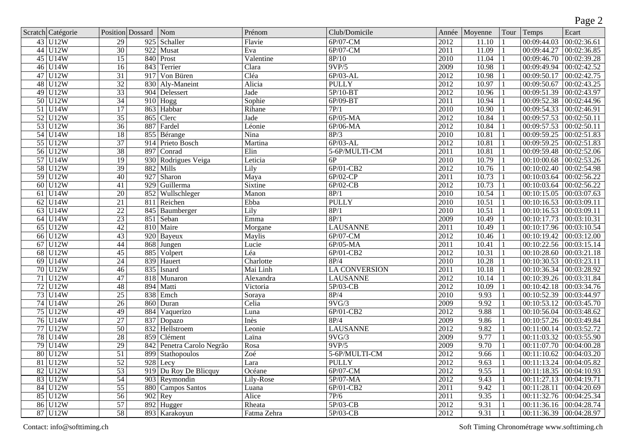|                 |                            |                        |                           |                              |                      |                   |                 |      |                           | Page 2                    |
|-----------------|----------------------------|------------------------|---------------------------|------------------------------|----------------------|-------------------|-----------------|------|---------------------------|---------------------------|
|                 | Scratch Catégorie          | Position Dossard       | Nom                       | Prénom                       | Club/Domicile        |                   | Année   Moyenne | Tour | Temps                     | Ecart                     |
|                 | 43 U12W                    | 29<br>925              | Schaller                  | Flavie                       | $6P/07-CM$           | 2012              | 11.10           |      | 00:09:44.03               | 00:02:36.61               |
| 44              | $\overline{\mathrm{U12W}}$ | $\overline{30}$<br>922 | Musat                     | Eva                          | 6P/07-CM             | 2011              | 11.09           |      | 00:09:44.27               | 00:02:36.85               |
| 45              | U14W                       | $\overline{15}$<br>840 | Prost                     | Valentine                    | 8P/10                | 2010              | 11.04           |      | 00:09:46.70               | 00:02:39.28               |
|                 | 46 U14W                    | $\overline{16}$        | 843 Terrier               | Clara                        | 9VP/5                | 2009              | 10.98           |      | 00:09:49.94               | 00:02:42.52               |
|                 | $47$ U12W                  | $\overline{31}$        | 917 Von Büren             | Cléa                         | $6P/03-AL$           | 2012              | 10.98           |      | 00:09:50.17               | 00:02:42.75               |
| 48              | U12W                       | $\overline{32}$        | 830 Aly-Maneint           | Alicia                       | <b>PULLY</b>         | $\overline{2012}$ | 10.97           |      | 00:09:50.67               | 00:02:43.25               |
| 49              | U12W                       | $\overline{33}$        | 904 Delessert             | <b>Jade</b>                  | $5P/10-BT$           | 2012              | 10.96           |      | 00:09:51.39               | 00:02:43.97               |
| 50              | U <sub>12</sub> W          | 34                     | $910$ Hogg                | Sophie                       | 6P/09-BT             | 2011              | 10.94           |      | 00:09:52.38               | 00:02:44.96               |
|                 | $51$ U14W                  | 17                     | 863 Habbar                | Rihane                       | 7P/1                 | 2010              | 10.90           |      | 00:09:54.33               | 00:02:46.91               |
| $\overline{52}$ | $\overline{\mathrm{U12W}}$ | $\overline{35}$        | 865 Clerc                 | Jade                         | $6P/05-MA$           | 2012              | 10.84           |      | 00:09:57.53               | 00:02:50.11               |
|                 | $53$ U12W                  | $\overline{36}$        | 887 Fardel                | Léonie                       | $6P/06-MA$           | 2012              | 10.84           |      | 00:09:57.53               | 00:02:50.11               |
|                 | 54 U14W                    | 18                     | 855 Bérange               | Nina                         | 8P/3                 | 2010              | 10.81           |      | 00:09:59.25               | 00:02:51.83               |
|                 | 55 U12W                    | 37                     | 914 Prieto Bosch          | Martina                      | $6P/03-AL$           | 2012              | 10.81           |      | 00:09:59.25               | 00:02:51.83               |
|                 | 56 U12W                    | $\overline{38}$        | 897 Conrad                | Elin                         | 5-6P/MULTI-CM        | 2011              | 10.81           |      | 00:09:59.48               | 00:02:52.06               |
|                 | $57$ U14W                  | $\overline{19}$        | 930 Rodrigues Veiga       | Leticia                      | 6P                   | 2010              | 10.79           |      | 00:10:00.68               | 00:02:53.26               |
|                 | 58 U12W                    | 39                     | 882 Mills                 | Lily                         | 6P/01-CB2            | 2012              | 10.76           |      | 00:10:02.40               | 00:02:54.98               |
| 59              | U12W                       | 927<br>40              | Sharon                    | Maya                         | $6P/02-CP$           | 2011              | 10.73           |      | 00:10:03.64               | 00:02:56.22               |
| 60              | U12W                       | 929<br>41              | Guillerma                 | <b>Sixtine</b>               | $6P/02-CB$           | 2012              | 10.73           |      | 00:10:03.64               | 00:02:56.22               |
| 61              | U14W                       | $\overline{20}$        | 852 Wullschleger          | $\overline{\mathrm{Man}}$ on | 8P/1                 | 2010              | 10.54           |      | 00:10:15.05               | 00:03:07.63               |
| 62              | U14W                       | 21                     | 811 Reichen               | Ebba                         | <b>PULLY</b>         | 2010              | 10.51           |      | 00:10:16.53               | 00:03:09.11               |
| 63              | U14W                       | $\overline{22}$        | 845 Baumberger            | Lily                         | 8P/1                 | 2010              | 10.51           |      | 00:10:16.53               | 00:03:09.11               |
| 64              | U14W                       | $\overline{23}$<br>851 | Seban                     | Emma                         | 8P/1                 | 2009              | 10.49           |      | 00:10:17.73               | 00:03:10.31               |
| $\overline{65}$ | $\overline{U12W}$          | $\overline{42}$        | 810 Maire                 | Morgane                      | <b>LAUSANNE</b>      | 2011              | 10.49           |      | 00:10:17.96               | 00:03:10.54               |
| 66              | U12W                       | $\overline{43}$        | $\overline{920}$ Bayeux   | Maylis                       | $6P/07-CM$           | 2012              | 10.46           |      | 00:10:19.42               | 00:03:12.00               |
| 67              | U12W                       | $\overline{44}$<br>868 | Jungen                    | Lucie                        | $6P/05-MA$           | 2011              | 10.41           |      | 00:10:22.56               | 00:03:15.14               |
| 68              | U12W                       | $\overline{45}$<br>885 | Volpert                   | Léa                          | 6P/01-CB2            | 2012              | 10.31           |      | 00:10:28.60               | 00:03:21.18               |
| 69              | $\overline{\mathrm{U14W}}$ | 24                     | 839 Hauert                | Charlotte                    | 8P/4                 | 2010              | 10.28           |      | 00:10:30.53               | 00:03:23.11               |
| 70              | U12W                       | $\overline{46}$        | 835 Isnard                | Mai Linh                     | <b>LA CONVERSION</b> | $\overline{2011}$ | 10.18           |      | 00:10:36.34               | 00:03:28.92               |
|                 | $71$ U12W                  | 47                     | 818 Munaron               | Alexandra                    | <b>LAUSANNE</b>      | 2012              | 10.14           |      | 00:10:39.26               | 00:03:31.84               |
|                 | 72 U12W                    | $\overline{48}$        | 894 Matti                 | Victoria                     | $5P/03-CB$           | 2012              | 10.09           |      | 00:10:42.18               | 00:03:34.76               |
|                 | 73 U14W                    | $\overline{25}$        | 838 Emch                  | Soraya                       | 8P/4                 | 2010              | 9.93            |      | 00:10:52.39               | 00:03:44.97               |
| 74              | U14W                       | $\overline{26}$<br>860 | Duran                     | Celia                        | 9VG/3                | 2009              | 9.92            |      | 00:10:53.12               | 00:03:45.70               |
| 75              | U12W                       | 49<br>884              | Vaquerizo                 | Luna                         | 6P/01-CB2            | 2012              | 9.88            |      | 00:10:56.04               | 00:03:48.62               |
|                 | 76 U14W                    | $\overline{27}$        | 837 Dopazo                | Inès                         | 8P/4                 | 2009              | 9.86            |      | 00:10:57.26               | 00:03:49.84               |
| 77              | $\overline{\mathrm{U12W}}$ | $\overline{50}$        | 832 Hellstroem            | Leonie                       | <b>LAUSANNE</b>      | 2012              | 9.82            |      | 00:11:00.14               | 00:03:52.72               |
| 78              | U14W                       | 28<br>859              | Clément                   | Laïna                        | 9VG/3                | 2009              | 9.77            |      | 00:11:03.32               | 00:03:55.90               |
|                 | 79 U14W                    | 29                     | 842 Penetra Carolo Negrão | Rosa                         | 9VP/5                | 2009              | 9.70            |      | 00:11:07.70 00:04:00.28   |                           |
|                 | 80 U12W                    | $\overline{51}$        | 899 Stathopoulos          | Zoé                          | 5-6P/MULTI-CM        | 2012              | 9.66            |      | $00:11:10.62$ 00:04:03.20 |                           |
|                 | $81$ U12W                  | $\overline{52}$        | $928$ Lecy                | Lara                         | <b>PULLY</b>         | 2012              | 9.63            |      | $00:11:13.24$ 00:04:05.82 |                           |
|                 | 82 U12W                    | $\overline{53}$        | 919 Du Roy De Blicquy     | Océane                       | $6P/07-CM$           | 2012              | 9.55            |      |                           | $00:11:18.35$ 00:04:10.93 |
|                 | 83 U12W                    | 54                     | 903 Reymondin             | Lily-Rose                    | 5P/07-MA             | 2012              | 9.43            |      | $00:11:27.13$ 00:04:19.71 |                           |
|                 | 84 U12W                    | $\overline{55}$        | 880 Campos Santos         | Luana                        | 6P/01-CB2            | 2011              | 9.42            |      | 00:11:28.11               | 00:04:20.69               |
|                 | 85 U12W                    | 56                     | $902$ Rey                 | Alice                        | 7P/6                 | 2011              | 9.35            |      |                           | 00:11:32.76 00:04:25.34   |
|                 | $86$ U12W                  | 57                     | $892$ Hugger              | Rheata                       | 5P/03-CB             | 2012              | 9.31            |      | 00:11:36.16               | 00:04:28.74               |
|                 | $87$ U12W                  | 58                     | 893 Karakoyun             | Fatma Zehra                  | 5P/03-CB             | 2012              | 9.31            |      |                           | 00:11:36.39 00:04:28.97   |